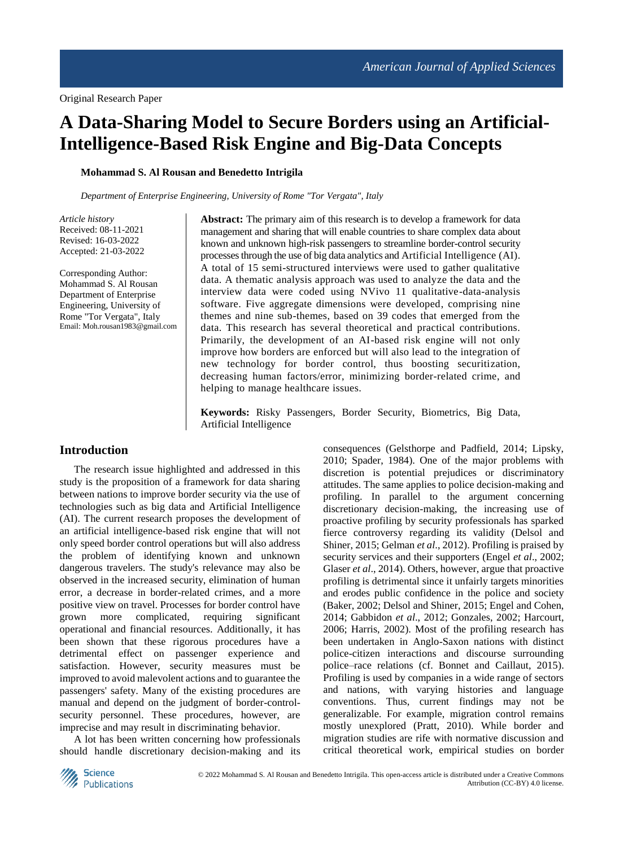# **A Data-Sharing Model to Secure Borders using an Artificial-Intelligence-Based Risk Engine and Big-Data Concepts**

**Mohammad S. Al Rousan and Benedetto Intrigila**

*Department of Enterprise Engineering, University of Rome "Tor Vergata", Italy*

*Article history* Received: 08-11-2021 Revised: 16-03-2022 Accepted: 21-03-2022

Corresponding Author: Mohammad S. Al Rousan Department of Enterprise Engineering, University of Rome "Tor Vergata", Italy Email: Moh.rousan1983@gmail.com **Abstract:** The primary aim of this research is to develop a framework for data management and sharing that will enable countries to share complex data about known and unknown high-risk passengers to streamline border-control security processes through the use of big data analytics and Artificial Intelligence (AI). A total of 15 semi-structured interviews were used to gather qualitative data. A thematic analysis approach was used to analyze the data and the interview data were coded using NVivo 11 qualitative-data-analysis software. Five aggregate dimensions were developed, comprising nine themes and nine sub-themes, based on 39 codes that emerged from the data. This research has several theoretical and practical contributions. Primarily, the development of an AI-based risk engine will not only improve how borders are enforced but will also lead to the integration of new technology for border control, thus boosting securitization, decreasing human factors/error, minimizing border-related crime, and helping to manage healthcare issues.

**Keywords:** Risky Passengers, Border Security, Biometrics, Big Data, Artificial Intelligence

#### **Introduction**

The research issue highlighted and addressed in this study is the proposition of a framework for data sharing between nations to improve border security via the use of technologies such as big data and Artificial Intelligence (AI). The current research proposes the development of an artificial intelligence-based risk engine that will not only speed border control operations but will also address the problem of identifying known and unknown dangerous travelers. The study's relevance may also be observed in the increased security, elimination of human error, a decrease in border-related crimes, and a more positive view on travel. Processes for border control have grown more complicated, requiring significant operational and financial resources. Additionally, it has been shown that these rigorous procedures have a detrimental effect on passenger experience and satisfaction. However, security measures must be improved to avoid malevolent actions and to guarantee the passengers' safety. Many of the existing procedures are manual and depend on the judgment of border-controlsecurity personnel. These procedures, however, are imprecise and may result in discriminating behavior.

A lot has been written concerning how professionals should handle discretionary decision-making and its consequences (Gelsthorpe and Padfield, 2014; Lipsky, 2010; Spader, 1984). One of the major problems with discretion is potential prejudices or discriminatory attitudes. The same applies to police decision-making and profiling. In parallel to the argument concerning discretionary decision-making, the increasing use of proactive profiling by security professionals has sparked fierce controversy regarding its validity (Delsol and Shiner, 2015; Gelman *et al*., 2012). Profiling is praised by security services and their supporters (Engel *et al*., 2002; Glaser *et al*., 2014). Others, however, argue that proactive profiling is detrimental since it unfairly targets minorities and erodes public confidence in the police and society (Baker, 2002; Delsol and Shiner, 2015; Engel and Cohen, 2014; Gabbidon *et al*., 2012; Gonzales, 2002; Harcourt, 2006; Harris, 2002). Most of the profiling research has been undertaken in Anglo-Saxon nations with distinct police-citizen interactions and discourse surrounding police–race relations (cf. Bonnet and Caillaut, 2015). Profiling is used by companies in a wide range of sectors and nations, with varying histories and language conventions. Thus, current findings may not be generalizable. For example, migration control remains mostly unexplored (Pratt, 2010). While border and migration studies are rife with normative discussion and critical theoretical work, empirical studies on border

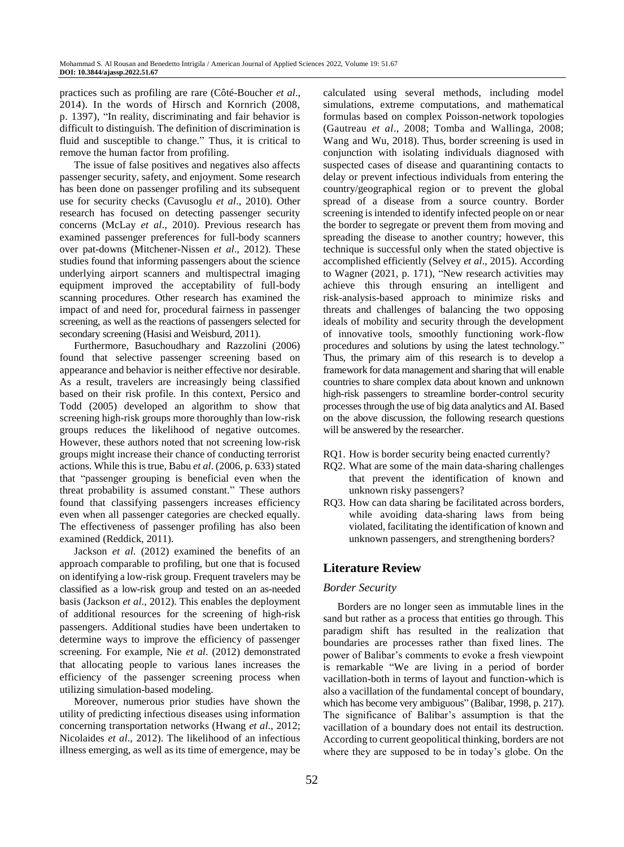practices such as profiling are rare (Côté-Boucher *et al*., 2014). In the words of Hirsch and Kornrich (2008, p. 1397), "In reality, discriminating and fair behavior is difficult to distinguish. The definition of discrimination is fluid and susceptible to change." Thus, it is critical to remove the human factor from profiling.

The issue of false positives and negatives also affects passenger security, safety, and enjoyment. Some research has been done on passenger profiling and its subsequent use for security checks (Cavusoglu *et al*., 2010). Other research has focused on detecting passenger security concerns (McLay *et al*., 2010). Previous research has examined passenger preferences for full-body scanners over pat-downs (Mitchener-Nissen *et al*., 2012). These studies found that informing passengers about the science underlying airport scanners and multispectral imaging equipment improved the acceptability of full-body scanning procedures. Other research has examined the impact of and need for, procedural fairness in passenger screening, as well as the reactions of passengers selected for secondary screening (Hasisi and Weisburd, 2011).

Furthermore, Basuchoudhary and Razzolini (2006) found that selective passenger screening based on appearance and behavior is neither effective nor desirable. As a result, travelers are increasingly being classified based on their risk profile. In this context, Persico and Todd (2005) developed an algorithm to show that screening high-risk groups more thoroughly than low-risk groups reduces the likelihood of negative outcomes. However, these authors noted that not screening low-risk groups might increase their chance of conducting terrorist actions. While this is true, Babu *et al*. (2006, p. 633) stated that "passenger grouping is beneficial even when the threat probability is assumed constant." These authors found that classifying passengers increases efficiency even when all passenger categories are checked equally. The effectiveness of passenger profiling has also been examined (Reddick, 2011).

Jackson *et al*. (2012) examined the benefits of an approach comparable to profiling, but one that is focused on identifying a low-risk group. Frequent travelers may be classified as a low-risk group and tested on an as-needed basis (Jackson *et al*., 2012). This enables the deployment of additional resources for the screening of high-risk passengers. Additional studies have been undertaken to determine ways to improve the efficiency of passenger screening. For example, Nie *et al*. (2012) demonstrated that allocating people to various lanes increases the efficiency of the passenger screening process when utilizing simulation-based modeling.

Moreover, numerous prior studies have shown the utility of predicting infectious diseases using information concerning transportation networks (Hwang *et al*., 2012; Nicolaides *et al*., 2012). The likelihood of an infectious illness emerging, as well as its time of emergence, may be

calculated using several methods, including model simulations, extreme computations, and mathematical formulas based on complex Poisson-network topologies (Gautreau *et al*., 2008; Tomba and Wallinga, 2008; Wang and Wu, 2018). Thus, border screening is used in conjunction with isolating individuals diagnosed with suspected cases of disease and quarantining contacts to delay or prevent infectious individuals from entering the country/geographical region or to prevent the global spread of a disease from a source country. Border screening is intended to identify infected people on or near the border to segregate or prevent them from moving and spreading the disease to another country; however, this technique is successful only when the stated objective is accomplished efficiently (Selvey *et al*., 2015). According to Wagner (2021, p. 171), "New research activities may achieve this through ensuring an intelligent and risk-analysis-based approach to minimize risks and threats and challenges of balancing the two opposing ideals of mobility and security through the development of innovative tools, smoothly functioning work-flow procedures and solutions by using the latest technology." Thus, the primary aim of this research is to develop a framework for data management and sharing that will enable countries to share complex data about known and unknown high-risk passengers to streamline border-control security processes through the use of big data analytics and AI. Based on the above discussion, the following research questions will be answered by the researcher.

- RQ1. How is border security being enacted currently?
- RQ2. What are some of the main data-sharing challenges that prevent the identification of known and unknown risky passengers?
- RQ3. How can data sharing be facilitated across borders, while avoiding data-sharing laws from being violated, facilitating the identification of known and unknown passengers, and strengthening borders?

## **Literature Review**

#### *Border Security*

Borders are no longer seen as immutable lines in the sand but rather as a process that entities go through. This paradigm shift has resulted in the realization that boundaries are processes rather than fixed lines. The power of Balibar's comments to evoke a fresh viewpoint is remarkable "We are living in a period of border vacillation-both in terms of layout and function-which is also a vacillation of the fundamental concept of boundary, which has become very ambiguous" (Balibar, 1998, p. 217). The significance of Balibar's assumption is that the vacillation of a boundary does not entail its destruction. According to current geopolitical thinking, borders are not where they are supposed to be in today's globe. On the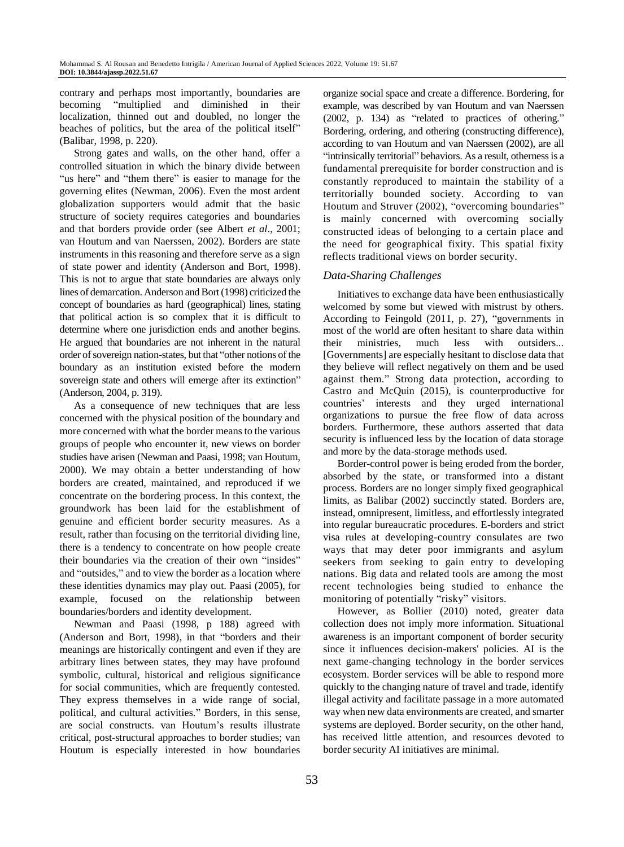contrary and perhaps most importantly, boundaries are becoming "multiplied and diminished in their localization, thinned out and doubled, no longer the beaches of politics, but the area of the political itself" (Balibar, 1998, p. 220).

Strong gates and walls, on the other hand, offer a controlled situation in which the binary divide between "us here" and "them there" is easier to manage for the governing elites (Newman, 2006). Even the most ardent globalization supporters would admit that the basic structure of society requires categories and boundaries and that borders provide order (see Albert *et al*., 2001; van Houtum and van Naerssen, 2002). Borders are state instruments in this reasoning and therefore serve as a sign of state power and identity (Anderson and Bort, 1998). This is not to argue that state boundaries are always only lines of demarcation. Anderson and Bort(1998) criticized the concept of boundaries as hard (geographical) lines, stating that political action is so complex that it is difficult to determine where one jurisdiction ends and another begins. He argued that boundaries are not inherent in the natural order of sovereign nation-states, but that "other notions of the boundary as an institution existed before the modern sovereign state and others will emerge after its extinction" (Anderson, 2004, p. 319).

As a consequence of new techniques that are less concerned with the physical position of the boundary and more concerned with what the border means to the various groups of people who encounter it, new views on border studies have arisen (Newman and Paasi, 1998; van Houtum, 2000). We may obtain a better understanding of how borders are created, maintained, and reproduced if we concentrate on the bordering process. In this context, the groundwork has been laid for the establishment of genuine and efficient border security measures. As a result, rather than focusing on the territorial dividing line, there is a tendency to concentrate on how people create their boundaries via the creation of their own "insides" and "outsides," and to view the border as a location where these identities dynamics may play out. Paasi (2005), for example, focused on the relationship between boundaries/borders and identity development.

Newman and Paasi (1998, p 188) agreed with (Anderson and Bort, 1998), in that "borders and their meanings are historically contingent and even if they are arbitrary lines between states, they may have profound symbolic, cultural, historical and religious significance for social communities, which are frequently contested. They express themselves in a wide range of social, political, and cultural activities." Borders, in this sense, are social constructs. van Houtum's results illustrate critical, post-structural approaches to border studies; van Houtum is especially interested in how boundaries organize social space and create a difference. Bordering, for example, was described by van Houtum and van Naerssen (2002, p. 134) as "related to practices of othering*.*" Bordering, ordering, and othering (constructing difference), according to van Houtum and van Naerssen (2002), are all "intrinsically territorial" behaviors. As a result, otherness is a fundamental prerequisite for border construction and is constantly reproduced to maintain the stability of a territorially bounded society. According to van Houtum and Struver (2002), "overcoming boundaries" is mainly concerned with overcoming socially constructed ideas of belonging to a certain place and the need for geographical fixity. This spatial fixity reflects traditional views on border security.

# *Data-Sharing Challenges*

Initiatives to exchange data have been enthusiastically welcomed by some but viewed with mistrust by others. According to Feingold (2011, p. 27), "governments in most of the world are often hesitant to share data within their ministries, much less with outsiders... [Governments] are especially hesitant to disclose data that they believe will reflect negatively on them and be used against them." Strong data protection, according to Castro and McQuin (2015), is counterproductive for countries' interests and they urged international organizations to pursue the free flow of data across borders. Furthermore, these authors asserted that data security is influenced less by the location of data storage and more by the data-storage methods used.

Border-control power is being eroded from the border, absorbed by the state, or transformed into a distant process. Borders are no longer simply fixed geographical limits, as Balibar (2002) succinctly stated. Borders are, instead, omnipresent, limitless, and effortlessly integrated into regular bureaucratic procedures. E-borders and strict visa rules at developing-country consulates are two ways that may deter poor immigrants and asylum seekers from seeking to gain entry to developing nations. Big data and related tools are among the most recent technologies being studied to enhance the monitoring of potentially "risky" visitors.

However, as Bollier (2010) noted, greater data collection does not imply more information. Situational awareness is an important component of border security since it influences decision-makers' policies. AI is the next game-changing technology in the border services ecosystem. Border services will be able to respond more quickly to the changing nature of travel and trade, identify illegal activity and facilitate passage in a more automated way when new data environments are created, and smarter systems are deployed. Border security, on the other hand, has received little attention, and resources devoted to border security AI initiatives are minimal.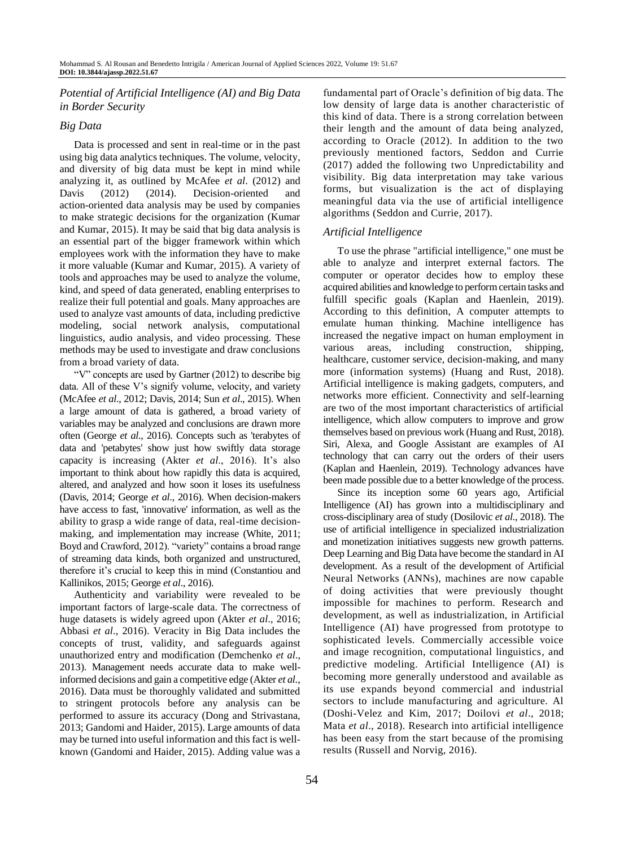# *Potential of Artificial Intelligence (AI) and Big Data in Border Security*

## *Big Data*

Data is processed and sent in real-time or in the past using big data analytics techniques. The volume, velocity, and diversity of big data must be kept in mind while analyzing it, as outlined by McAfee *et al*. (2012) and Davis (2012) (2014). Decision-oriented and action-oriented data analysis may be used by companies to make strategic decisions for the organization (Kumar and Kumar, 2015). It may be said that big data analysis is an essential part of the bigger framework within which employees work with the information they have to make it more valuable (Kumar and Kumar, 2015). A variety of tools and approaches may be used to analyze the volume, kind, and speed of data generated, enabling enterprises to realize their full potential and goals. Many approaches are used to analyze vast amounts of data, including predictive modeling, social network analysis, computational linguistics, audio analysis, and video processing. These methods may be used to investigate and draw conclusions from a broad variety of data.

"V" concepts are used by Gartner (2012) to describe big data. All of these V's signify volume, velocity, and variety (McAfee *et al*., 2012; Davis, 2014; Sun *et al*., 2015). When a large amount of data is gathered, a broad variety of variables may be analyzed and conclusions are drawn more often (George *et al*., 2016). Concepts such as 'terabytes of data and 'petabytes' show just how swiftly data storage capacity is increasing (Akter *et al*., 2016). It's also important to think about how rapidly this data is acquired, altered, and analyzed and how soon it loses its usefulness (Davis, 2014; George *et al*., 2016). When decision-makers have access to fast, 'innovative' information, as well as the ability to grasp a wide range of data, real-time decisionmaking, and implementation may increase (White, 2011; Boyd and Crawford, 2012). "variety" contains a broad range of streaming data kinds, both organized and unstructured, therefore it's crucial to keep this in mind (Constantiou and Kallinikos, 2015; George *et al*., 2016).

Authenticity and variability were revealed to be important factors of large-scale data. The correctness of huge datasets is widely agreed upon (Akter *et al*., 2016; Abbasi *et al*., 2016). Veracity in Big Data includes the concepts of trust, validity, and safeguards against unauthorized entry and modification (Demchenko *et al*., 2013). Management needs accurate data to make wellinformed decisions and gain a competitive edge (Akter *et al*., 2016). Data must be thoroughly validated and submitted to stringent protocols before any analysis can be performed to assure its accuracy (Dong and Strivastana, 2013; Gandomi and Haider, 2015). Large amounts of data may be turned into useful information and this fact is wellknown (Gandomi and Haider, 2015). Adding value was a

fundamental part of Oracle's definition of big data. The low density of large data is another characteristic of this kind of data. There is a strong correlation between their length and the amount of data being analyzed, according to Oracle (2012). In addition to the two previously mentioned factors, Seddon and Currie (2017) added the following two Unpredictability and visibility. Big data interpretation may take various forms, but visualization is the act of displaying meaningful data via the use of artificial intelligence algorithms (Seddon and Currie, 2017).

# *Artificial Intelligence*

To use the phrase "artificial intelligence," one must be able to analyze and interpret external factors. The computer or operator decides how to employ these acquired abilities and knowledge to perform certain tasks and fulfill specific goals (Kaplan and Haenlein, 2019). According to this definition, A computer attempts to emulate human thinking. Machine intelligence has increased the negative impact on human employment in various areas, including construction, shipping, healthcare, customer service, decision-making, and many more (information systems) (Huang and Rust, 2018). Artificial intelligence is making gadgets, computers, and networks more efficient. Connectivity and self-learning are two of the most important characteristics of artificial intelligence, which allow computers to improve and grow themselves based on previous work (Huang and Rust, 2018). Siri, Alexa, and Google Assistant are examples of AI technology that can carry out the orders of their users (Kaplan and Haenlein, 2019). Technology advances have been made possible due to a better knowledge of the process.

Since its inception some 60 years ago, Artificial Intelligence (AI) has grown into a multidisciplinary and cross-disciplinary area of study (Dosilovic *et al*., 2018). The use of artificial intelligence in specialized industrialization and monetization initiatives suggests new growth patterns. Deep Learning and Big Data have become the standard in AI development. As a result of the development of Artificial Neural Networks (ANNs), machines are now capable of doing activities that were previously thought impossible for machines to perform. Research and development, as well as industrialization, in Artificial Intelligence (AI) have progressed from prototype to sophisticated levels. Commercially accessible voice and image recognition, computational linguistics, and predictive modeling. Artificial Intelligence (AI) is becoming more generally understood and available as its use expands beyond commercial and industrial sectors to include manufacturing and agriculture. Al (Doshi-Velez and Kim, 2017; Doilovi *et al*., 2018; Mata *et al*., 2018). Research into artificial intelligence has been easy from the start because of the promising results (Russell and Norvig, 2016).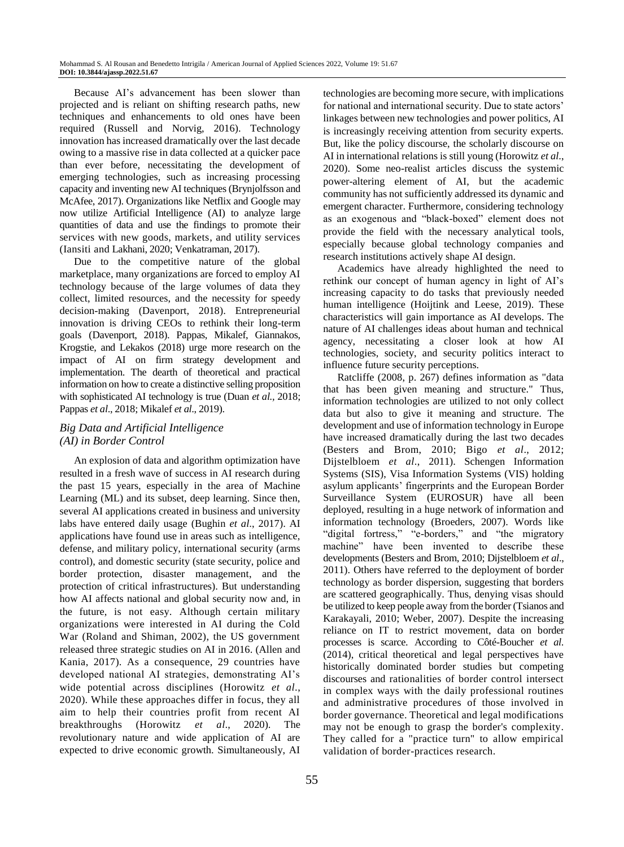Because AI's advancement has been slower than projected and is reliant on shifting research paths, new techniques and enhancements to old ones have been required (Russell and Norvig, 2016). Technology innovation has increased dramatically over the last decade owing to a massive rise in data collected at a quicker pace than ever before, necessitating the development of emerging technologies, such as increasing processing capacity and inventing new AI techniques (Brynjolfsson and McAfee, 2017). Organizations like Netflix and Google may now utilize Artificial Intelligence (AI) to analyze large quantities of data and use the findings to promote their services with new goods, markets, and utility services (Iansiti and Lakhani, 2020; Venkatraman, 2017).

Due to the competitive nature of the global marketplace, many organizations are forced to employ AI technology because of the large volumes of data they collect, limited resources, and the necessity for speedy decision-making (Davenport, 2018). Entrepreneurial innovation is driving CEOs to rethink their long-term goals (Davenport, 2018). Pappas, Mikalef, Giannakos, Krogstie, and Lekakos (2018) urge more research on the impact of AI on firm strategy development and implementation. The dearth of theoretical and practical information on how to create a distinctive selling proposition with sophisticated AI technology is true (Duan *et al.,* 2018; Pappas *et al*., 2018; Mikalef *et al*., 2019).

# *Big Data and Artificial Intelligence (AI) in Border Control*

An explosion of data and algorithm optimization have resulted in a fresh wave of success in AI research during the past 15 years, especially in the area of Machine Learning (ML) and its subset, deep learning. Since then, several AI applications created in business and university labs have entered daily usage (Bughin *et al*., 2017). AI applications have found use in areas such as intelligence, defense, and military policy, international security (arms control), and domestic security (state security, police and border protection, disaster management, and the protection of critical infrastructures). But understanding how AI affects national and global security now and, in the future, is not easy. Although certain military organizations were interested in AI during the Cold War (Roland and Shiman, 2002), the US government released three strategic studies on AI in 2016. (Allen and Kania, 2017). As a consequence, 29 countries have developed national AI strategies, demonstrating AI's wide potential across disciplines (Horowitz *et al*., 2020). While these approaches differ in focus, they all aim to help their countries profit from recent AI breakthroughs (Horowitz *et al*., 2020). The revolutionary nature and wide application of AI are expected to drive economic growth. Simultaneously, AI

technologies are becoming more secure, with implications for national and international security. Due to state actors' linkages between new technologies and power politics, AI is increasingly receiving attention from security experts. But, like the policy discourse, the scholarly discourse on AI in international relations is still young (Horowitz *et al*., 2020). Some neo-realist articles discuss the systemic power-altering element of AI, but the academic community has not sufficiently addressed its dynamic and emergent character. Furthermore, considering technology as an exogenous and "black-boxed" element does not provide the field with the necessary analytical tools, especially because global technology companies and research institutions actively shape AI design.

Academics have already highlighted the need to rethink our concept of human agency in light of AI's increasing capacity to do tasks that previously needed human intelligence (Hoijtink and Leese, 2019). These characteristics will gain importance as AI develops. The nature of AI challenges ideas about human and technical agency, necessitating a closer look at how AI technologies, society, and security politics interact to influence future security perceptions.

Ratcliffe (2008, p. 267) defines information as "data that has been given meaning and structure." Thus, information technologies are utilized to not only collect data but also to give it meaning and structure. The development and use of information technology in Europe have increased dramatically during the last two decades (Besters and Brom, 2010; Bigo *et al*., 2012; Dijstelbloem *et al*., 2011). Schengen Information Systems (SIS), Visa Information Systems (VIS) holding asylum applicants' fingerprints and the European Border Surveillance System (EUROSUR) have all been deployed, resulting in a huge network of information and information technology (Broeders, 2007). Words like "digital fortress," "e-borders," and "the migratory machine" have been invented to describe these developments (Besters and Brom, 2010; Dijstelbloem *et al*., 2011). Others have referred to the deployment of border technology as border dispersion, suggesting that borders are scattered geographically. Thus, denying visas should be utilized to keep people away from the border (Tsianos and Karakayali, 2010; Weber, 2007). Despite the increasing reliance on IT to restrict movement, data on border processes is scarce. According to Côté-Boucher *et al*. (2014), critical theoretical and legal perspectives have historically dominated border studies but competing discourses and rationalities of border control intersect in complex ways with the daily professional routines and administrative procedures of those involved in border governance. Theoretical and legal modifications may not be enough to grasp the border's complexity. They called for a "practice turn" to allow empirical validation of border-practices research.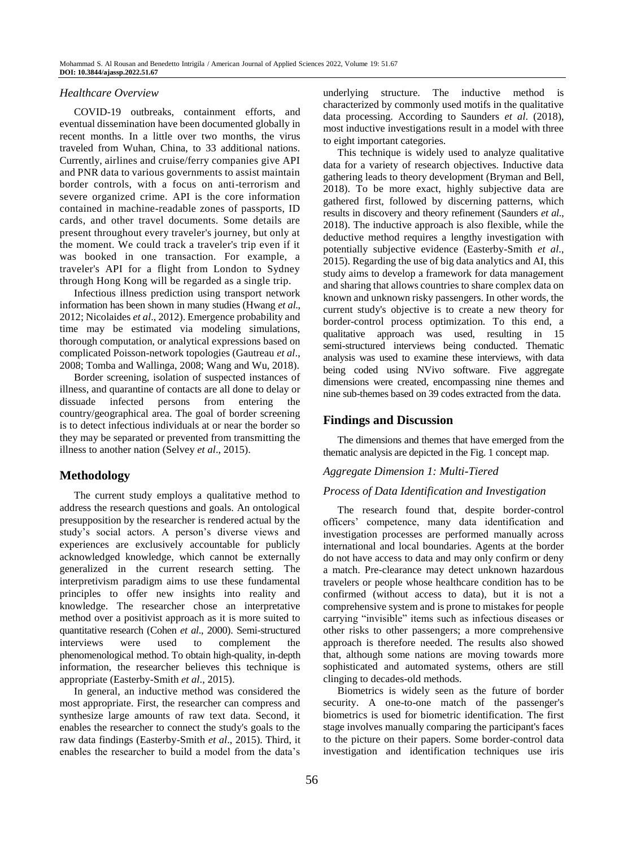#### *Healthcare Overview*

COVID-19 outbreaks, containment efforts, and eventual dissemination have been documented globally in recent months. In a little over two months, the virus traveled from Wuhan, China, to 33 additional nations. Currently, airlines and cruise/ferry companies give API and PNR data to various governments to assist maintain border controls, with a focus on anti-terrorism and severe organized crime. API is the core information contained in machine-readable zones of passports, ID cards, and other travel documents. Some details are present throughout every traveler's journey, but only at the moment. We could track a traveler's trip even if it was booked in one transaction. For example, a traveler's API for a flight from London to Sydney through Hong Kong will be regarded as a single trip.

Infectious illness prediction using transport network information has been shown in many studies (Hwang *et al*., 2012; Nicolaides *et al*., 2012). Emergence probability and time may be estimated via modeling simulations, thorough computation, or analytical expressions based on complicated Poisson-network topologies (Gautreau *et al*., 2008; Tomba and Wallinga, 2008; Wang and Wu, 2018).

Border screening, isolation of suspected instances of illness, and quarantine of contacts are all done to delay or dissuade infected persons from entering the country/geographical area. The goal of border screening is to detect infectious individuals at or near the border so they may be separated or prevented from transmitting the illness to another nation (Selvey *et al*., 2015).

# **Methodology**

The current study employs a qualitative method to address the research questions and goals. An ontological presupposition by the researcher is rendered actual by the study's social actors. A person's diverse views and experiences are exclusively accountable for publicly acknowledged knowledge, which cannot be externally generalized in the current research setting. The interpretivism paradigm aims to use these fundamental principles to offer new insights into reality and knowledge. The researcher chose an interpretative method over a positivist approach as it is more suited to quantitative research (Cohen *et al*., 2000). Semi-structured interviews were used to complement the phenomenological method. To obtain high-quality, in-depth information, the researcher believes this technique is appropriate (Easterby-Smith *et al*., 2015).

In general, an inductive method was considered the most appropriate. First, the researcher can compress and synthesize large amounts of raw text data. Second, it enables the researcher to connect the study's goals to the raw data findings (Easterby-Smith *et al*., 2015). Third, it enables the researcher to build a model from the data's

underlying structure. The inductive method is characterized by commonly used motifs in the qualitative data processing. According to Saunders *et al*. (2018), most inductive investigations result in a model with three to eight important categories.

This technique is widely used to analyze qualitative data for a variety of research objectives. Inductive data gathering leads to theory development (Bryman and Bell, 2018). To be more exact, highly subjective data are gathered first, followed by discerning patterns, which results in discovery and theory refinement (Saunders *et al*., 2018). The inductive approach is also flexible, while the deductive method requires a lengthy investigation with potentially subjective evidence (Easterby-Smith *et al*., 2015). Regarding the use of big data analytics and AI, this study aims to develop a framework for data management and sharing that allows countries to share complex data on known and unknown risky passengers. In other words, the current study's objective is to create a new theory for border-control process optimization. To this end, a qualitative approach was used, resulting in 15 semi-structured interviews being conducted. Thematic analysis was used to examine these interviews, with data being coded using NVivo software. Five aggregate dimensions were created, encompassing nine themes and nine sub-themes based on 39 codes extracted from the data.

## **Findings and Discussion**

The dimensions and themes that have emerged from the thematic analysis are depicted in the Fig. 1 concept map.

#### *Aggregate Dimension 1: Multi-Tiered*

#### *Process of Data Identification and Investigation*

The research found that, despite border-control officers' competence, many data identification and investigation processes are performed manually across international and local boundaries. Agents at the border do not have access to data and may only confirm or deny a match. Pre-clearance may detect unknown hazardous travelers or people whose healthcare condition has to be confirmed (without access to data), but it is not a comprehensive system and is prone to mistakes for people carrying "invisible" items such as infectious diseases or other risks to other passengers; a more comprehensive approach is therefore needed. The results also showed that, although some nations are moving towards more sophisticated and automated systems, others are still clinging to decades-old methods.

Biometrics is widely seen as the future of border security. A one-to-one match of the passenger's biometrics is used for biometric identification. The first stage involves manually comparing the participant's faces to the picture on their papers. Some border-control data investigation and identification techniques use iris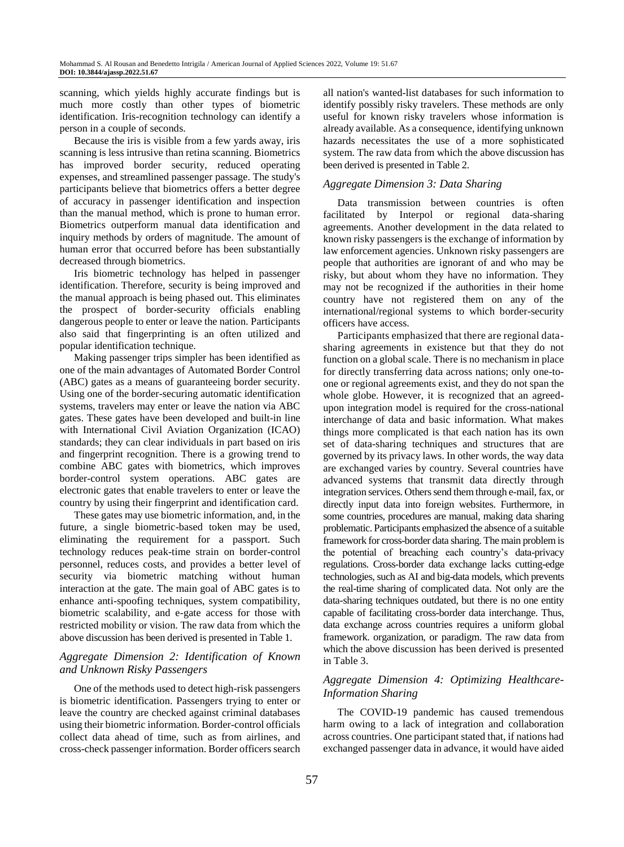scanning, which yields highly accurate findings but is much more costly than other types of biometric identification. Iris-recognition technology can identify a person in a couple of seconds.

Because the iris is visible from a few yards away, iris scanning is less intrusive than retina scanning. Biometrics has improved border security, reduced operating expenses, and streamlined passenger passage. The study's participants believe that biometrics offers a better degree of accuracy in passenger identification and inspection than the manual method, which is prone to human error. Biometrics outperform manual data identification and inquiry methods by orders of magnitude. The amount of human error that occurred before has been substantially decreased through biometrics.

Iris biometric technology has helped in passenger identification. Therefore, security is being improved and the manual approach is being phased out. This eliminates the prospect of border-security officials enabling dangerous people to enter or leave the nation. Participants also said that fingerprinting is an often utilized and popular identification technique.

Making passenger trips simpler has been identified as one of the main advantages of Automated Border Control (ABC) gates as a means of guaranteeing border security. Using one of the border-securing automatic identification systems, travelers may enter or leave the nation via ABC gates. These gates have been developed and built-in line with International Civil Aviation Organization (ICAO) standards; they can clear individuals in part based on iris and fingerprint recognition. There is a growing trend to combine ABC gates with biometrics, which improves border-control system operations. ABC gates are electronic gates that enable travelers to enter or leave the country by using their fingerprint and identification card.

These gates may use biometric information, and, in the future, a single biometric-based token may be used, eliminating the requirement for a passport. Such technology reduces peak-time strain on border-control personnel, reduces costs, and provides a better level of security via biometric matching without human interaction at the gate. The main goal of ABC gates is to enhance anti-spoofing techniques, system compatibility, biometric scalability, and e-gate access for those with restricted mobility or vision. The raw data from which the above discussion has been derived is presented in Table 1.

## *Aggregate Dimension 2: Identification of Known and Unknown Risky Passengers*

One of the methods used to detect high-risk passengers is biometric identification. Passengers trying to enter or leave the country are checked against criminal databases using their biometric information. Border-control officials collect data ahead of time, such as from airlines, and cross-check passenger information. Border officers search all nation's wanted-list databases for such information to identify possibly risky travelers. These methods are only useful for known risky travelers whose information is already available. As a consequence, identifying unknown hazards necessitates the use of a more sophisticated system. The raw data from which the above discussion has been derived is presented in Table 2.

## *Aggregate Dimension 3: Data Sharing*

Data transmission between countries is often facilitated by Interpol or regional data-sharing agreements. Another development in the data related to known risky passengers is the exchange of information by law enforcement agencies. Unknown risky passengers are people that authorities are ignorant of and who may be risky, but about whom they have no information. They may not be recognized if the authorities in their home country have not registered them on any of the international/regional systems to which border-security officers have access.

Participants emphasized that there are regional datasharing agreements in existence but that they do not function on a global scale. There is no mechanism in place for directly transferring data across nations; only one-toone or regional agreements exist, and they do not span the whole globe. However, it is recognized that an agreedupon integration model is required for the cross-national interchange of data and basic information. What makes things more complicated is that each nation has its own set of data-sharing techniques and structures that are governed by its privacy laws. In other words, the way data are exchanged varies by country. Several countries have advanced systems that transmit data directly through integration services. Others send them through e-mail, fax, or directly input data into foreign websites. Furthermore, in some countries, procedures are manual, making data sharing problematic. Participants emphasized the absence of a suitable framework for cross-border data sharing. The main problem is the potential of breaching each country's data-privacy regulations. Cross-border data exchange lacks cutting-edge technologies, such as AI and big-data models, which prevents the real-time sharing of complicated data. Not only are the data-sharing techniques outdated, but there is no one entity capable of facilitating cross-border data interchange. Thus, data exchange across countries requires a uniform global framework. organization, or paradigm. The raw data from which the above discussion has been derived is presented in Table 3.

# *Aggregate Dimension 4: Optimizing Healthcare-Information Sharing*

The COVID-19 pandemic has caused tremendous harm owing to a lack of integration and collaboration across countries. One participant stated that, if nations had exchanged passenger data in advance, it would have aided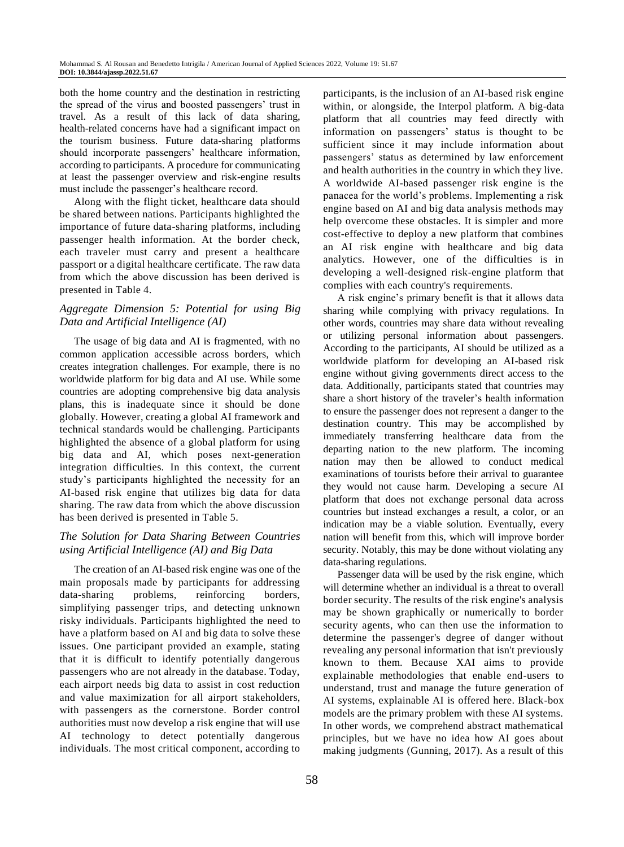both the home country and the destination in restricting the spread of the virus and boosted passengers' trust in travel. As a result of this lack of data sharing, health-related concerns have had a significant impact on the tourism business. Future data-sharing platforms should incorporate passengers' healthcare information, according to participants. A procedure for communicating at least the passenger overview and risk-engine results must include the passenger's healthcare record.

Along with the flight ticket, healthcare data should be shared between nations. Participants highlighted the importance of future data-sharing platforms, including passenger health information. At the border check, each traveler must carry and present a healthcare passport or a digital healthcare certificate. The raw data from which the above discussion has been derived is presented in Table 4.

# *Aggregate Dimension 5: Potential for using Big Data and Artificial Intelligence (AI)*

The usage of big data and AI is fragmented, with no common application accessible across borders, which creates integration challenges. For example, there is no worldwide platform for big data and AI use. While some countries are adopting comprehensive big data analysis plans, this is inadequate since it should be done globally. However, creating a global AI framework and technical standards would be challenging. Participants highlighted the absence of a global platform for using big data and AI, which poses next-generation integration difficulties. In this context, the current study's participants highlighted the necessity for an AI-based risk engine that utilizes big data for data sharing. The raw data from which the above discussion has been derived is presented in Table 5.

# *The Solution for Data Sharing Between Countries using Artificial Intelligence (AI) and Big Data*

The creation of an AI-based risk engine was one of the main proposals made by participants for addressing data-sharing problems, reinforcing borders, simplifying passenger trips, and detecting unknown risky individuals. Participants highlighted the need to have a platform based on AI and big data to solve these issues. One participant provided an example, stating that it is difficult to identify potentially dangerous passengers who are not already in the database. Today, each airport needs big data to assist in cost reduction and value maximization for all airport stakeholders, with passengers as the cornerstone. Border control authorities must now develop a risk engine that will use AI technology to detect potentially dangerous individuals. The most critical component, according to participants, is the inclusion of an AI-based risk engine within, or alongside, the Interpol platform. A big-data platform that all countries may feed directly with information on passengers' status is thought to be sufficient since it may include information about passengers' status as determined by law enforcement and health authorities in the country in which they live. A worldwide AI-based passenger risk engine is the panacea for the world's problems. Implementing a risk engine based on AI and big data analysis methods may help overcome these obstacles. It is simpler and more cost-effective to deploy a new platform that combines an AI risk engine with healthcare and big data analytics. However, one of the difficulties is in developing a well-designed risk-engine platform that complies with each country's requirements.

A risk engine's primary benefit is that it allows data sharing while complying with privacy regulations. In other words, countries may share data without revealing or utilizing personal information about passengers. According to the participants, AI should be utilized as a worldwide platform for developing an AI-based risk engine without giving governments direct access to the data. Additionally, participants stated that countries may share a short history of the traveler's health information to ensure the passenger does not represent a danger to the destination country. This may be accomplished by immediately transferring healthcare data from the departing nation to the new platform. The incoming nation may then be allowed to conduct medical examinations of tourists before their arrival to guarantee they would not cause harm. Developing a secure AI platform that does not exchange personal data across countries but instead exchanges a result, a color, or an indication may be a viable solution. Eventually, every nation will benefit from this, which will improve border security. Notably, this may be done without violating any data-sharing regulations.

Passenger data will be used by the risk engine, which will determine whether an individual is a threat to overall border security. The results of the risk engine's analysis may be shown graphically or numerically to border security agents, who can then use the information to determine the passenger's degree of danger without revealing any personal information that isn't previously known to them. Because XAI aims to provide explainable methodologies that enable end-users to understand, trust and manage the future generation of AI systems, explainable AI is offered here. Black-box models are the primary problem with these AI systems. In other words, we comprehend abstract mathematical principles, but we have no idea how AI goes about making judgments (Gunning, 2017). As a result of this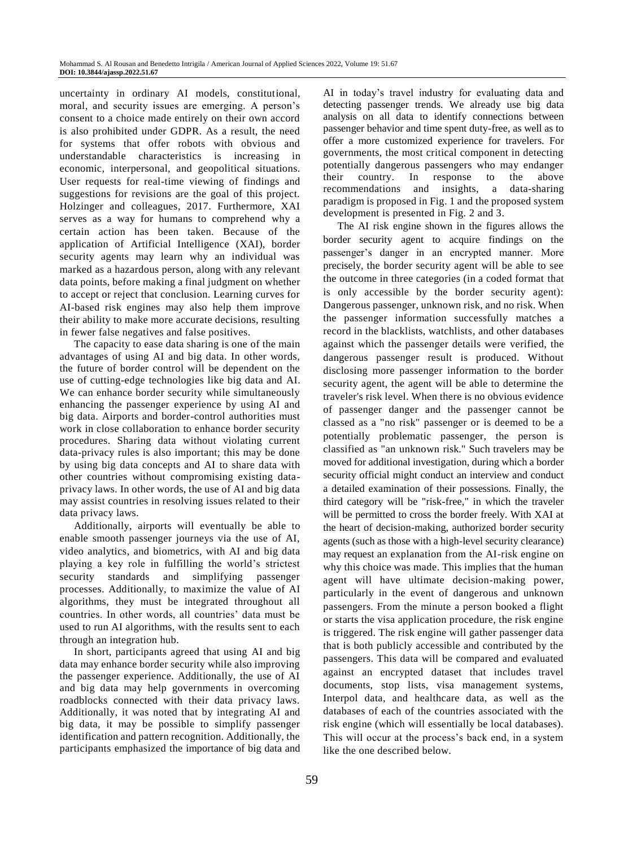uncertainty in ordinary AI models, constitutional, moral, and security issues are emerging. A person's consent to a choice made entirely on their own accord is also prohibited under GDPR. As a result, the need for systems that offer robots with obvious and understandable characteristics is increasing in economic, interpersonal, and geopolitical situations. User requests for real-time viewing of findings and suggestions for revisions are the goal of this project. Holzinger and colleagues, 2017. Furthermore, XAI serves as a way for humans to comprehend why a certain action has been taken. Because of the application of Artificial Intelligence (XAI), border security agents may learn why an individual was marked as a hazardous person, along with any relevant data points, before making a final judgment on whether to accept or reject that conclusion. Learning curves for AI-based risk engines may also help them improve their ability to make more accurate decisions, resulting in fewer false negatives and false positives.

The capacity to ease data sharing is one of the main advantages of using AI and big data. In other words, the future of border control will be dependent on the use of cutting-edge technologies like big data and AI. We can enhance border security while simultaneously enhancing the passenger experience by using AI and big data. Airports and border-control authorities must work in close collaboration to enhance border security procedures. Sharing data without violating current data-privacy rules is also important; this may be done by using big data concepts and AI to share data with other countries without compromising existing dataprivacy laws. In other words, the use of AI and big data may assist countries in resolving issues related to their data privacy laws.

Additionally, airports will eventually be able to enable smooth passenger journeys via the use of AI, video analytics, and biometrics, with AI and big data playing a key role in fulfilling the world's strictest security standards and simplifying passenger processes. Additionally, to maximize the value of AI algorithms, they must be integrated throughout all countries. In other words, all countries' data must be used to run AI algorithms, with the results sent to each through an integration hub.

In short, participants agreed that using AI and big data may enhance border security while also improving the passenger experience. Additionally, the use of AI and big data may help governments in overcoming roadblocks connected with their data privacy laws. Additionally, it was noted that by integrating AI and big data, it may be possible to simplify passenger identification and pattern recognition. Additionally, the participants emphasized the importance of big data and

AI in today's travel industry for evaluating data and detecting passenger trends. We already use big data analysis on all data to identify connections between passenger behavior and time spent duty-free, as well as to offer a more customized experience for travelers. For governments, the most critical component in detecting potentially dangerous passengers who may endanger their country. In response to the above recommendations and insights, a data-sharing paradigm is proposed in Fig. 1 and the proposed system development is presented in Fig. 2 and 3.

The AI risk engine shown in the figures allows the border security agent to acquire findings on the passenger's danger in an encrypted manner. More precisely, the border security agent will be able to see the outcome in three categories (in a coded format that is only accessible by the border security agent): Dangerous passenger, unknown risk, and no risk. When the passenger information successfully matches a record in the blacklists, watchlists, and other databases against which the passenger details were verified, the dangerous passenger result is produced. Without disclosing more passenger information to the border security agent, the agent will be able to determine the traveler's risk level. When there is no obvious evidence of passenger danger and the passenger cannot be classed as a "no risk" passenger or is deemed to be a potentially problematic passenger, the person is classified as "an unknown risk." Such travelers may be moved for additional investigation, during which a border security official might conduct an interview and conduct a detailed examination of their possessions. Finally, the third category will be "risk-free," in which the traveler will be permitted to cross the border freely. With XAI at the heart of decision-making, authorized border security agents (such as those with a high-level security clearance) may request an explanation from the AI-risk engine on why this choice was made. This implies that the human agent will have ultimate decision-making power, particularly in the event of dangerous and unknown passengers. From the minute a person booked a flight or starts the visa application procedure, the risk engine is triggered. The risk engine will gather passenger data that is both publicly accessible and contributed by the passengers. This data will be compared and evaluated against an encrypted dataset that includes travel documents, stop lists, visa management systems, Interpol data, and healthcare data, as well as the databases of each of the countries associated with the risk engine (which will essentially be local databases). This will occur at the process's back end, in a system like the one described below.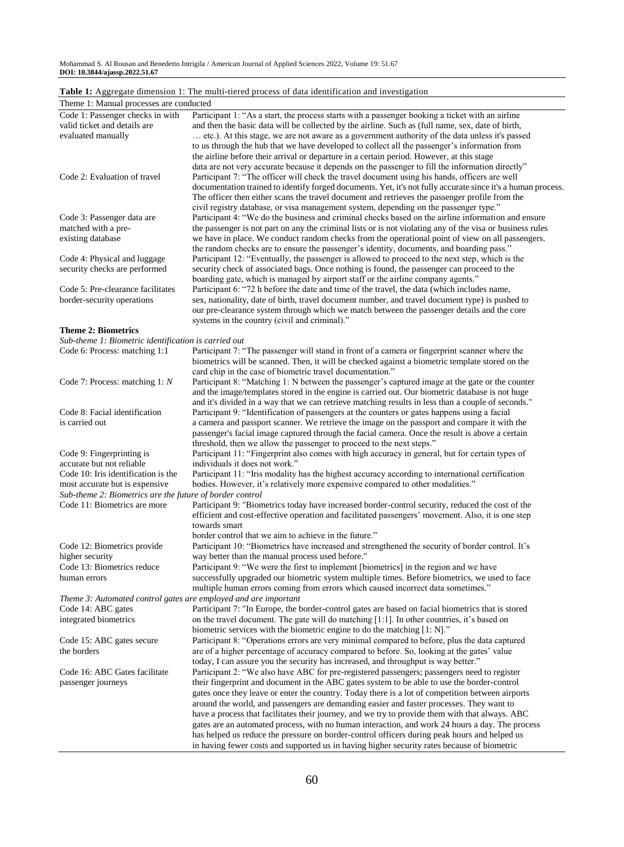Mohammad S. Al Rousan and Benedetto Intrigila / American Journal of Applied Sciences 2022, Volume 19: 51.67 **DOI: 10.3844/ajassp.2022.51.67**

| Table 1: Aggregate dimension 1: The multi-tiered process of data identification and investigation |  |  |
|---------------------------------------------------------------------------------------------------|--|--|
|                                                                                                   |  |  |

| Theme 1: Manual processes are conducted<br>Code 1: Passenger checks in with<br>Participant 1: "As a start, the process starts with a passenger booking a ticket with an airline<br>valid ticket and details are<br>and then the basic data will be collected by the airline. Such as (full name, sex, date of birth,<br>etc.). At this stage, we are not aware as a government authority of the data unless it's passed<br>evaluated manually<br>to us through the hub that we have developed to collect all the passenger's information from<br>the airline before their arrival or departure in a certain period. However, at this stage<br>data are not very accurate because it depends on the passenger to fill the information directly"<br>Participant 7: "The officer will check the travel document using his hands, officers are well<br>Code 2: Evaluation of travel<br>documentation trained to identify forged documents. Yet, it's not fully accurate since it's a human process.<br>The officer then either scans the travel document and retrieves the passenger profile from the<br>civil registry database, or visa management system, depending on the passenger type."<br>Participant 4: "We do the business and criminal checks based on the airline information and ensure<br>Code 3: Passenger data are<br>the passenger is not part on any the criminal lists or is not violating any of the visa or business rules<br>matched with a pre-<br>existing database<br>we have in place. We conduct random checks from the operational point of view on all passengers.<br>the random checks are to ensure the passenger's identity, documents, and boarding pass."<br>Code 4: Physical and luggage<br>Participant 12: "Eventually, the passenger is allowed to proceed to the next step, which is the<br>security checks are performed<br>security check of associated bags. Once nothing is found, the passenger can proceed to the<br>boarding gate, which is managed by airport staff or the airline company agents."<br>Code 5: Pre-clearance facilitates<br>Participant 6: "72 h before the date and time of the travel, the data (which includes name,<br>border-security operations<br>sex, nationality, date of birth, travel document number, and travel document type) is pushed to<br>our pre-clearance system through which we match between the passenger details and the core |
|------------------------------------------------------------------------------------------------------------------------------------------------------------------------------------------------------------------------------------------------------------------------------------------------------------------------------------------------------------------------------------------------------------------------------------------------------------------------------------------------------------------------------------------------------------------------------------------------------------------------------------------------------------------------------------------------------------------------------------------------------------------------------------------------------------------------------------------------------------------------------------------------------------------------------------------------------------------------------------------------------------------------------------------------------------------------------------------------------------------------------------------------------------------------------------------------------------------------------------------------------------------------------------------------------------------------------------------------------------------------------------------------------------------------------------------------------------------------------------------------------------------------------------------------------------------------------------------------------------------------------------------------------------------------------------------------------------------------------------------------------------------------------------------------------------------------------------------------------------------------------------------------------------------------------------------------------------------------------------------------------------------------------------------------------------------------------------------------------------------------------------------------------------------------------------------------------------------------------------------------------------------------------------------------------------------------------------------------------------------------------------------------------------------|
|                                                                                                                                                                                                                                                                                                                                                                                                                                                                                                                                                                                                                                                                                                                                                                                                                                                                                                                                                                                                                                                                                                                                                                                                                                                                                                                                                                                                                                                                                                                                                                                                                                                                                                                                                                                                                                                                                                                                                                                                                                                                                                                                                                                                                                                                                                                                                                                                                  |
|                                                                                                                                                                                                                                                                                                                                                                                                                                                                                                                                                                                                                                                                                                                                                                                                                                                                                                                                                                                                                                                                                                                                                                                                                                                                                                                                                                                                                                                                                                                                                                                                                                                                                                                                                                                                                                                                                                                                                                                                                                                                                                                                                                                                                                                                                                                                                                                                                  |
|                                                                                                                                                                                                                                                                                                                                                                                                                                                                                                                                                                                                                                                                                                                                                                                                                                                                                                                                                                                                                                                                                                                                                                                                                                                                                                                                                                                                                                                                                                                                                                                                                                                                                                                                                                                                                                                                                                                                                                                                                                                                                                                                                                                                                                                                                                                                                                                                                  |
|                                                                                                                                                                                                                                                                                                                                                                                                                                                                                                                                                                                                                                                                                                                                                                                                                                                                                                                                                                                                                                                                                                                                                                                                                                                                                                                                                                                                                                                                                                                                                                                                                                                                                                                                                                                                                                                                                                                                                                                                                                                                                                                                                                                                                                                                                                                                                                                                                  |
|                                                                                                                                                                                                                                                                                                                                                                                                                                                                                                                                                                                                                                                                                                                                                                                                                                                                                                                                                                                                                                                                                                                                                                                                                                                                                                                                                                                                                                                                                                                                                                                                                                                                                                                                                                                                                                                                                                                                                                                                                                                                                                                                                                                                                                                                                                                                                                                                                  |
|                                                                                                                                                                                                                                                                                                                                                                                                                                                                                                                                                                                                                                                                                                                                                                                                                                                                                                                                                                                                                                                                                                                                                                                                                                                                                                                                                                                                                                                                                                                                                                                                                                                                                                                                                                                                                                                                                                                                                                                                                                                                                                                                                                                                                                                                                                                                                                                                                  |
|                                                                                                                                                                                                                                                                                                                                                                                                                                                                                                                                                                                                                                                                                                                                                                                                                                                                                                                                                                                                                                                                                                                                                                                                                                                                                                                                                                                                                                                                                                                                                                                                                                                                                                                                                                                                                                                                                                                                                                                                                                                                                                                                                                                                                                                                                                                                                                                                                  |
|                                                                                                                                                                                                                                                                                                                                                                                                                                                                                                                                                                                                                                                                                                                                                                                                                                                                                                                                                                                                                                                                                                                                                                                                                                                                                                                                                                                                                                                                                                                                                                                                                                                                                                                                                                                                                                                                                                                                                                                                                                                                                                                                                                                                                                                                                                                                                                                                                  |
|                                                                                                                                                                                                                                                                                                                                                                                                                                                                                                                                                                                                                                                                                                                                                                                                                                                                                                                                                                                                                                                                                                                                                                                                                                                                                                                                                                                                                                                                                                                                                                                                                                                                                                                                                                                                                                                                                                                                                                                                                                                                                                                                                                                                                                                                                                                                                                                                                  |
|                                                                                                                                                                                                                                                                                                                                                                                                                                                                                                                                                                                                                                                                                                                                                                                                                                                                                                                                                                                                                                                                                                                                                                                                                                                                                                                                                                                                                                                                                                                                                                                                                                                                                                                                                                                                                                                                                                                                                                                                                                                                                                                                                                                                                                                                                                                                                                                                                  |
|                                                                                                                                                                                                                                                                                                                                                                                                                                                                                                                                                                                                                                                                                                                                                                                                                                                                                                                                                                                                                                                                                                                                                                                                                                                                                                                                                                                                                                                                                                                                                                                                                                                                                                                                                                                                                                                                                                                                                                                                                                                                                                                                                                                                                                                                                                                                                                                                                  |
|                                                                                                                                                                                                                                                                                                                                                                                                                                                                                                                                                                                                                                                                                                                                                                                                                                                                                                                                                                                                                                                                                                                                                                                                                                                                                                                                                                                                                                                                                                                                                                                                                                                                                                                                                                                                                                                                                                                                                                                                                                                                                                                                                                                                                                                                                                                                                                                                                  |
|                                                                                                                                                                                                                                                                                                                                                                                                                                                                                                                                                                                                                                                                                                                                                                                                                                                                                                                                                                                                                                                                                                                                                                                                                                                                                                                                                                                                                                                                                                                                                                                                                                                                                                                                                                                                                                                                                                                                                                                                                                                                                                                                                                                                                                                                                                                                                                                                                  |
|                                                                                                                                                                                                                                                                                                                                                                                                                                                                                                                                                                                                                                                                                                                                                                                                                                                                                                                                                                                                                                                                                                                                                                                                                                                                                                                                                                                                                                                                                                                                                                                                                                                                                                                                                                                                                                                                                                                                                                                                                                                                                                                                                                                                                                                                                                                                                                                                                  |
|                                                                                                                                                                                                                                                                                                                                                                                                                                                                                                                                                                                                                                                                                                                                                                                                                                                                                                                                                                                                                                                                                                                                                                                                                                                                                                                                                                                                                                                                                                                                                                                                                                                                                                                                                                                                                                                                                                                                                                                                                                                                                                                                                                                                                                                                                                                                                                                                                  |
|                                                                                                                                                                                                                                                                                                                                                                                                                                                                                                                                                                                                                                                                                                                                                                                                                                                                                                                                                                                                                                                                                                                                                                                                                                                                                                                                                                                                                                                                                                                                                                                                                                                                                                                                                                                                                                                                                                                                                                                                                                                                                                                                                                                                                                                                                                                                                                                                                  |
|                                                                                                                                                                                                                                                                                                                                                                                                                                                                                                                                                                                                                                                                                                                                                                                                                                                                                                                                                                                                                                                                                                                                                                                                                                                                                                                                                                                                                                                                                                                                                                                                                                                                                                                                                                                                                                                                                                                                                                                                                                                                                                                                                                                                                                                                                                                                                                                                                  |
| systems in the country (civil and criminal)."                                                                                                                                                                                                                                                                                                                                                                                                                                                                                                                                                                                                                                                                                                                                                                                                                                                                                                                                                                                                                                                                                                                                                                                                                                                                                                                                                                                                                                                                                                                                                                                                                                                                                                                                                                                                                                                                                                                                                                                                                                                                                                                                                                                                                                                                                                                                                                    |
| <b>Theme 2: Biometrics</b>                                                                                                                                                                                                                                                                                                                                                                                                                                                                                                                                                                                                                                                                                                                                                                                                                                                                                                                                                                                                                                                                                                                                                                                                                                                                                                                                                                                                                                                                                                                                                                                                                                                                                                                                                                                                                                                                                                                                                                                                                                                                                                                                                                                                                                                                                                                                                                                       |
| Sub-theme 1: Biometric identification is carried out                                                                                                                                                                                                                                                                                                                                                                                                                                                                                                                                                                                                                                                                                                                                                                                                                                                                                                                                                                                                                                                                                                                                                                                                                                                                                                                                                                                                                                                                                                                                                                                                                                                                                                                                                                                                                                                                                                                                                                                                                                                                                                                                                                                                                                                                                                                                                             |
| Code 6: Process: matching 1:1<br>Participant 7: "The passenger will stand in front of a camera or fingerprint scanner where the                                                                                                                                                                                                                                                                                                                                                                                                                                                                                                                                                                                                                                                                                                                                                                                                                                                                                                                                                                                                                                                                                                                                                                                                                                                                                                                                                                                                                                                                                                                                                                                                                                                                                                                                                                                                                                                                                                                                                                                                                                                                                                                                                                                                                                                                                  |
| biometrics will be scanned. Then, it will be checked against a biometric template stored on the                                                                                                                                                                                                                                                                                                                                                                                                                                                                                                                                                                                                                                                                                                                                                                                                                                                                                                                                                                                                                                                                                                                                                                                                                                                                                                                                                                                                                                                                                                                                                                                                                                                                                                                                                                                                                                                                                                                                                                                                                                                                                                                                                                                                                                                                                                                  |
| card chip in the case of biometric travel documentation."<br>Code 7: Process: matching 1: N<br>Participant 8: "Matching 1: N between the passenger's captured image at the gate or the counter                                                                                                                                                                                                                                                                                                                                                                                                                                                                                                                                                                                                                                                                                                                                                                                                                                                                                                                                                                                                                                                                                                                                                                                                                                                                                                                                                                                                                                                                                                                                                                                                                                                                                                                                                                                                                                                                                                                                                                                                                                                                                                                                                                                                                   |
| and the image/templates stored in the engine is carried out. Our biometric database is not huge                                                                                                                                                                                                                                                                                                                                                                                                                                                                                                                                                                                                                                                                                                                                                                                                                                                                                                                                                                                                                                                                                                                                                                                                                                                                                                                                                                                                                                                                                                                                                                                                                                                                                                                                                                                                                                                                                                                                                                                                                                                                                                                                                                                                                                                                                                                  |
| and it's divided in a way that we can retrieve matching results in less than a couple of seconds."                                                                                                                                                                                                                                                                                                                                                                                                                                                                                                                                                                                                                                                                                                                                                                                                                                                                                                                                                                                                                                                                                                                                                                                                                                                                                                                                                                                                                                                                                                                                                                                                                                                                                                                                                                                                                                                                                                                                                                                                                                                                                                                                                                                                                                                                                                               |
| Code 8: Facial identification<br>Participant 9: "Identification of passengers at the counters or gates happens using a facial                                                                                                                                                                                                                                                                                                                                                                                                                                                                                                                                                                                                                                                                                                                                                                                                                                                                                                                                                                                                                                                                                                                                                                                                                                                                                                                                                                                                                                                                                                                                                                                                                                                                                                                                                                                                                                                                                                                                                                                                                                                                                                                                                                                                                                                                                    |
| is carried out<br>a camera and passport scanner. We retrieve the image on the passport and compare it with the                                                                                                                                                                                                                                                                                                                                                                                                                                                                                                                                                                                                                                                                                                                                                                                                                                                                                                                                                                                                                                                                                                                                                                                                                                                                                                                                                                                                                                                                                                                                                                                                                                                                                                                                                                                                                                                                                                                                                                                                                                                                                                                                                                                                                                                                                                   |
| passenger's facial image captured through the facial camera. Once the result is above a certain                                                                                                                                                                                                                                                                                                                                                                                                                                                                                                                                                                                                                                                                                                                                                                                                                                                                                                                                                                                                                                                                                                                                                                                                                                                                                                                                                                                                                                                                                                                                                                                                                                                                                                                                                                                                                                                                                                                                                                                                                                                                                                                                                                                                                                                                                                                  |
| threshold, then we allow the passenger to proceed to the next steps."                                                                                                                                                                                                                                                                                                                                                                                                                                                                                                                                                                                                                                                                                                                                                                                                                                                                                                                                                                                                                                                                                                                                                                                                                                                                                                                                                                                                                                                                                                                                                                                                                                                                                                                                                                                                                                                                                                                                                                                                                                                                                                                                                                                                                                                                                                                                            |
| Participant 11: "Fingerprint also comes with high accuracy in general, but for certain types of<br>Code 9: Fingerprinting is<br>accurate but not reliable<br>individuals it does not work."                                                                                                                                                                                                                                                                                                                                                                                                                                                                                                                                                                                                                                                                                                                                                                                                                                                                                                                                                                                                                                                                                                                                                                                                                                                                                                                                                                                                                                                                                                                                                                                                                                                                                                                                                                                                                                                                                                                                                                                                                                                                                                                                                                                                                      |
| Code 10: Iris identification is the<br>Participant 11: "Iris modality has the highest accuracy according to international certification                                                                                                                                                                                                                                                                                                                                                                                                                                                                                                                                                                                                                                                                                                                                                                                                                                                                                                                                                                                                                                                                                                                                                                                                                                                                                                                                                                                                                                                                                                                                                                                                                                                                                                                                                                                                                                                                                                                                                                                                                                                                                                                                                                                                                                                                          |
| bodies. However, it's relatively more expensive compared to other modalities."<br>most accurate but is expensive                                                                                                                                                                                                                                                                                                                                                                                                                                                                                                                                                                                                                                                                                                                                                                                                                                                                                                                                                                                                                                                                                                                                                                                                                                                                                                                                                                                                                                                                                                                                                                                                                                                                                                                                                                                                                                                                                                                                                                                                                                                                                                                                                                                                                                                                                                 |
| Sub-theme 2: Biometrics are the future of border control                                                                                                                                                                                                                                                                                                                                                                                                                                                                                                                                                                                                                                                                                                                                                                                                                                                                                                                                                                                                                                                                                                                                                                                                                                                                                                                                                                                                                                                                                                                                                                                                                                                                                                                                                                                                                                                                                                                                                                                                                                                                                                                                                                                                                                                                                                                                                         |
| Code 11: Biometrics are more<br>Participant 9: "Biometrics today have increased border-control security, reduced the cost of the                                                                                                                                                                                                                                                                                                                                                                                                                                                                                                                                                                                                                                                                                                                                                                                                                                                                                                                                                                                                                                                                                                                                                                                                                                                                                                                                                                                                                                                                                                                                                                                                                                                                                                                                                                                                                                                                                                                                                                                                                                                                                                                                                                                                                                                                                 |
| efficient and cost-effective operation and facilitated passengers' movement. Also, it is one step                                                                                                                                                                                                                                                                                                                                                                                                                                                                                                                                                                                                                                                                                                                                                                                                                                                                                                                                                                                                                                                                                                                                                                                                                                                                                                                                                                                                                                                                                                                                                                                                                                                                                                                                                                                                                                                                                                                                                                                                                                                                                                                                                                                                                                                                                                                |
| towards smart<br>border control that we aim to achieve in the future."                                                                                                                                                                                                                                                                                                                                                                                                                                                                                                                                                                                                                                                                                                                                                                                                                                                                                                                                                                                                                                                                                                                                                                                                                                                                                                                                                                                                                                                                                                                                                                                                                                                                                                                                                                                                                                                                                                                                                                                                                                                                                                                                                                                                                                                                                                                                           |
| Participant 10: "Biometrics have increased and strengthened the security of border control. It's<br>Code 12: Biometrics provide                                                                                                                                                                                                                                                                                                                                                                                                                                                                                                                                                                                                                                                                                                                                                                                                                                                                                                                                                                                                                                                                                                                                                                                                                                                                                                                                                                                                                                                                                                                                                                                                                                                                                                                                                                                                                                                                                                                                                                                                                                                                                                                                                                                                                                                                                  |
| higher security<br>way better than the manual process used before."                                                                                                                                                                                                                                                                                                                                                                                                                                                                                                                                                                                                                                                                                                                                                                                                                                                                                                                                                                                                                                                                                                                                                                                                                                                                                                                                                                                                                                                                                                                                                                                                                                                                                                                                                                                                                                                                                                                                                                                                                                                                                                                                                                                                                                                                                                                                              |
| Code 13: Biometrics reduce<br>Participant 9: "We were the first to implement [biometrics] in the region and we have                                                                                                                                                                                                                                                                                                                                                                                                                                                                                                                                                                                                                                                                                                                                                                                                                                                                                                                                                                                                                                                                                                                                                                                                                                                                                                                                                                                                                                                                                                                                                                                                                                                                                                                                                                                                                                                                                                                                                                                                                                                                                                                                                                                                                                                                                              |
| successfully upgraded our biometric system multiple times. Before biometrics, we used to face<br>human errors                                                                                                                                                                                                                                                                                                                                                                                                                                                                                                                                                                                                                                                                                                                                                                                                                                                                                                                                                                                                                                                                                                                                                                                                                                                                                                                                                                                                                                                                                                                                                                                                                                                                                                                                                                                                                                                                                                                                                                                                                                                                                                                                                                                                                                                                                                    |
| multiple human errors coming from errors which caused incorrect data sometimes."                                                                                                                                                                                                                                                                                                                                                                                                                                                                                                                                                                                                                                                                                                                                                                                                                                                                                                                                                                                                                                                                                                                                                                                                                                                                                                                                                                                                                                                                                                                                                                                                                                                                                                                                                                                                                                                                                                                                                                                                                                                                                                                                                                                                                                                                                                                                 |
| Theme 3: Automated control gates are employed and are important                                                                                                                                                                                                                                                                                                                                                                                                                                                                                                                                                                                                                                                                                                                                                                                                                                                                                                                                                                                                                                                                                                                                                                                                                                                                                                                                                                                                                                                                                                                                                                                                                                                                                                                                                                                                                                                                                                                                                                                                                                                                                                                                                                                                                                                                                                                                                  |
| Participant 7: "In Europe, the border-control gates are based on facial biometrics that is stored<br>Code 14: ABC gates                                                                                                                                                                                                                                                                                                                                                                                                                                                                                                                                                                                                                                                                                                                                                                                                                                                                                                                                                                                                                                                                                                                                                                                                                                                                                                                                                                                                                                                                                                                                                                                                                                                                                                                                                                                                                                                                                                                                                                                                                                                                                                                                                                                                                                                                                          |
| integrated biometrics<br>on the travel document. The gate will do matching [1:1]. In other countries, it's based on                                                                                                                                                                                                                                                                                                                                                                                                                                                                                                                                                                                                                                                                                                                                                                                                                                                                                                                                                                                                                                                                                                                                                                                                                                                                                                                                                                                                                                                                                                                                                                                                                                                                                                                                                                                                                                                                                                                                                                                                                                                                                                                                                                                                                                                                                              |
| biometric services with the biometric engine to do the matching [1: N]."                                                                                                                                                                                                                                                                                                                                                                                                                                                                                                                                                                                                                                                                                                                                                                                                                                                                                                                                                                                                                                                                                                                                                                                                                                                                                                                                                                                                                                                                                                                                                                                                                                                                                                                                                                                                                                                                                                                                                                                                                                                                                                                                                                                                                                                                                                                                         |
| Participant 8: "Operations errors are very minimal compared to before, plus the data captured<br>Code 15: ABC gates secure<br>the borders                                                                                                                                                                                                                                                                                                                                                                                                                                                                                                                                                                                                                                                                                                                                                                                                                                                                                                                                                                                                                                                                                                                                                                                                                                                                                                                                                                                                                                                                                                                                                                                                                                                                                                                                                                                                                                                                                                                                                                                                                                                                                                                                                                                                                                                                        |
| are of a higher percentage of accuracy compared to before. So, looking at the gates' value<br>today, I can assure you the security has increased, and throughput is way better."                                                                                                                                                                                                                                                                                                                                                                                                                                                                                                                                                                                                                                                                                                                                                                                                                                                                                                                                                                                                                                                                                                                                                                                                                                                                                                                                                                                                                                                                                                                                                                                                                                                                                                                                                                                                                                                                                                                                                                                                                                                                                                                                                                                                                                 |
| Participant 2: "We also have ABC for pre-registered passengers; passengers need to register<br>Code 16: ABC Gates facilitate                                                                                                                                                                                                                                                                                                                                                                                                                                                                                                                                                                                                                                                                                                                                                                                                                                                                                                                                                                                                                                                                                                                                                                                                                                                                                                                                                                                                                                                                                                                                                                                                                                                                                                                                                                                                                                                                                                                                                                                                                                                                                                                                                                                                                                                                                     |
| their fingerprint and document in the ABC gates system to be able to use the border-control<br>passenger journeys                                                                                                                                                                                                                                                                                                                                                                                                                                                                                                                                                                                                                                                                                                                                                                                                                                                                                                                                                                                                                                                                                                                                                                                                                                                                                                                                                                                                                                                                                                                                                                                                                                                                                                                                                                                                                                                                                                                                                                                                                                                                                                                                                                                                                                                                                                |
| gates once they leave or enter the country. Today there is a lot of competition between airports                                                                                                                                                                                                                                                                                                                                                                                                                                                                                                                                                                                                                                                                                                                                                                                                                                                                                                                                                                                                                                                                                                                                                                                                                                                                                                                                                                                                                                                                                                                                                                                                                                                                                                                                                                                                                                                                                                                                                                                                                                                                                                                                                                                                                                                                                                                 |
| around the world, and passengers are demanding easier and faster processes. They want to                                                                                                                                                                                                                                                                                                                                                                                                                                                                                                                                                                                                                                                                                                                                                                                                                                                                                                                                                                                                                                                                                                                                                                                                                                                                                                                                                                                                                                                                                                                                                                                                                                                                                                                                                                                                                                                                                                                                                                                                                                                                                                                                                                                                                                                                                                                         |
| have a process that facilitates their journey, and we try to provide them with that always. ABC                                                                                                                                                                                                                                                                                                                                                                                                                                                                                                                                                                                                                                                                                                                                                                                                                                                                                                                                                                                                                                                                                                                                                                                                                                                                                                                                                                                                                                                                                                                                                                                                                                                                                                                                                                                                                                                                                                                                                                                                                                                                                                                                                                                                                                                                                                                  |
| gates are an automated process, with no human interaction, and work 24 hours a day. The process<br>has helped us reduce the pressure on border-control officers during peak hours and helped us                                                                                                                                                                                                                                                                                                                                                                                                                                                                                                                                                                                                                                                                                                                                                                                                                                                                                                                                                                                                                                                                                                                                                                                                                                                                                                                                                                                                                                                                                                                                                                                                                                                                                                                                                                                                                                                                                                                                                                                                                                                                                                                                                                                                                  |
| in having fewer costs and supported us in having higher security rates because of biometric                                                                                                                                                                                                                                                                                                                                                                                                                                                                                                                                                                                                                                                                                                                                                                                                                                                                                                                                                                                                                                                                                                                                                                                                                                                                                                                                                                                                                                                                                                                                                                                                                                                                                                                                                                                                                                                                                                                                                                                                                                                                                                                                                                                                                                                                                                                      |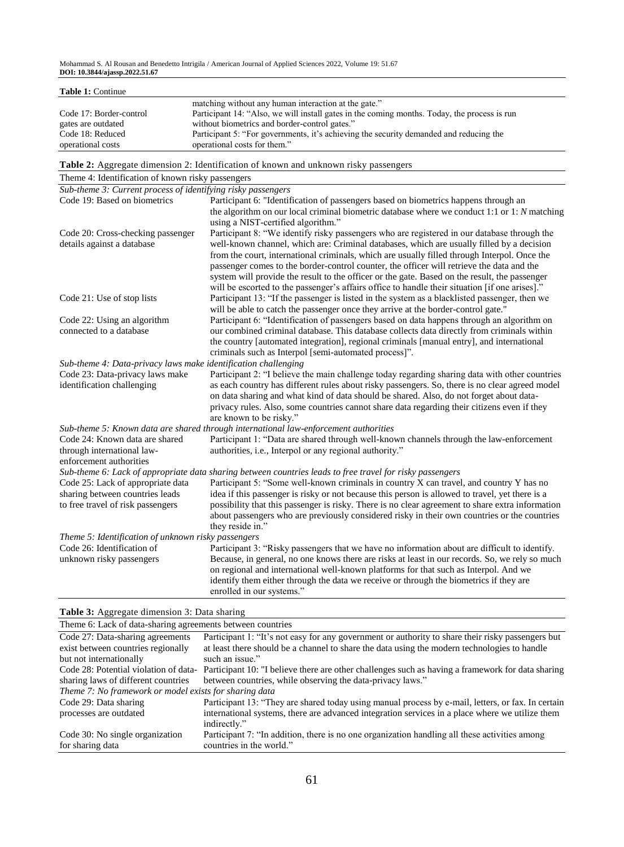Mohammad S. Al Rousan and Benedetto Intrigila / American Journal of Applied Sciences 2022, Volume 19: 51.67 **DOI: 10.3844/ajassp.2022.51.67**

| Table 1: Continue                                              |                                                                                                  |  |
|----------------------------------------------------------------|--------------------------------------------------------------------------------------------------|--|
|                                                                | matching without any human interaction at the gate."                                             |  |
| Code 17: Border-control                                        | Participant 14: "Also, we will install gates in the coming months. Today, the process is run     |  |
| gates are outdated                                             | without biometrics and border-control gates."                                                    |  |
| Code 18: Reduced                                               | Participant 5: "For governments, it's achieving the security demanded and reducing the           |  |
| operational costs                                              | operational costs for them."                                                                     |  |
|                                                                | Table 2: Aggregate dimension 2: Identification of known and unknown risky passengers             |  |
| Theme 4: Identification of known risky passengers              |                                                                                                  |  |
| Sub-theme 3: Current process of identifying risky passengers   |                                                                                                  |  |
| Code 19: Based on biometrics                                   | Participant 6: "Identification of passengers based on biometrics happens through an              |  |
|                                                                | the algorithm on our local criminal biometric database where we conduct $1:1$ or $1: N$ matching |  |
|                                                                | using a NIST-certified algorithm."                                                               |  |
| Code 20: Cross-checking passenger                              | Participant 8: "We identify risky passengers who are registered in our database through the      |  |
| details against a database                                     | well-known channel, which are: Criminal databases, which are usually filled by a decision        |  |
|                                                                | from the court, international criminals, which are usually filled through Interpol. Once the     |  |
|                                                                | passenger comes to the border-control counter, the officer will retrieve the data and the        |  |
|                                                                | system will provide the result to the officer or the gate. Based on the result, the passenger    |  |
|                                                                | will be escorted to the passenger's affairs office to handle their situation [if one arises]."   |  |
| Code 21: Use of stop lists                                     | Participant 13: "If the passenger is listed in the system as a blacklisted passenger, then we    |  |
|                                                                | will be able to catch the passenger once they arrive at the border-control gate."                |  |
| Code 22: Using an algorithm                                    | Participant 6: "Identification of passengers based on data happens through an algorithm on       |  |
| connected to a database                                        | our combined criminal database. This database collects data directly from criminals within       |  |
|                                                                | the country [automated integration], regional criminals [manual entry], and international        |  |
|                                                                | criminals such as Interpol [semi-automated process]".                                            |  |
| Sub-theme 4: Data-privacy laws make identification challenging |                                                                                                  |  |
| Code 23: Data-privacy laws make                                | Participant 2: "I believe the main challenge today regarding sharing data with other countries   |  |
| identification challenging                                     | as each country has different rules about risky passengers. So, there is no clear agreed model   |  |
|                                                                | on data sharing and what kind of data should be shared. Also, do not forget about data-          |  |
|                                                                | privacy rules. Also, some countries cannot share data regarding their citizens even if they      |  |
|                                                                | are known to be risky."                                                                          |  |

*Sub-theme 5: Known data are shared through international law-enforcement authorities*

|                                                     | эмо-тете э. кнови шии иге знигеи тголхи тетитонинив геврогеннен импониез                                                                                                                         |
|-----------------------------------------------------|--------------------------------------------------------------------------------------------------------------------------------------------------------------------------------------------------|
| Code 24: Known data are shared                      | Participant 1: "Data are shared through well-known channels through the law-enforcement                                                                                                          |
| through international law-                          | authorities, i.e., Interpol or any regional authority."                                                                                                                                          |
| enforcement authorities                             |                                                                                                                                                                                                  |
|                                                     | Sub-theme 6: Lack of appropriate data sharing between countries leads to free travel for risky passengers                                                                                        |
| Code 25: Lack of appropriate data                   | Participant 5: "Some well-known criminals in country X can travel, and country Y has no                                                                                                          |
| sharing between countries leads                     | idea if this passenger is risky or not because this person is allowed to travel, yet there is a                                                                                                  |
| to free travel of risk passengers                   | possibility that this passenger is risky. There is no clear agreement to share extra information<br>about passengers who are previously considered risky in their own countries or the countries |
|                                                     | they reside in."                                                                                                                                                                                 |
| Theme 5: Identification of unknown risky passengers |                                                                                                                                                                                                  |
| Code 26: Identification of                          | Participant 3: "Risky passengers that we have no information about are difficult to identify.                                                                                                    |
| unknown risky passengers                            | Because, in general, no one knows there are risks at least in our records. So, we rely so much<br>on regional and international well-known platforms for that such as Interpol. And we           |
|                                                     | identify them either through the data we receive or through the biometrics if they are<br>enrolled in our systems."                                                                              |

# **Table 3:** Aggregate dimension 3: Data sharing

| Theme 6: Lack of data-sharing agreements between countries |                                                                                                                                         |  |
|------------------------------------------------------------|-----------------------------------------------------------------------------------------------------------------------------------------|--|
| Code 27: Data-sharing agreements                           | Participant 1: "It's not easy for any government or authority to share their risky passengers but                                       |  |
| exist between countries regionally                         | at least there should be a channel to share the data using the modern technologies to handle                                            |  |
| but not internationally                                    | such an issue."                                                                                                                         |  |
|                                                            | Code 28: Potential violation of data- Participant 10: "I believe there are other challenges such as having a framework for data sharing |  |
| sharing laws of different countries                        | between countries, while observing the data-privacy laws."                                                                              |  |
| Theme 7: No framework or model exists for sharing data     |                                                                                                                                         |  |
| Code 29: Data sharing                                      | Participant 13: "They are shared today using manual process by e-mail, letters, or fax. In certain                                      |  |
| processes are outdated                                     | international systems, there are advanced integration services in a place where we utilize them                                         |  |
|                                                            | indirectly."                                                                                                                            |  |
| Code 30: No single organization                            | Participant 7: "In addition, there is no one organization handling all these activities among                                           |  |
| for sharing data                                           | countries in the world."                                                                                                                |  |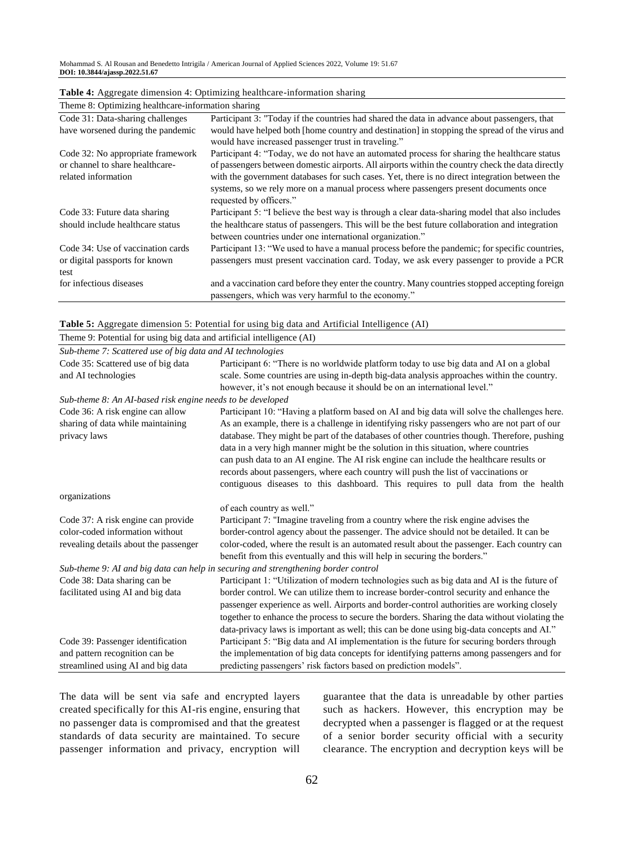| Theme 8: Optimizing healthcare-information sharing                                          |                                                                                                                                                                                                                                                                                                                                                                                                                      |  |
|---------------------------------------------------------------------------------------------|----------------------------------------------------------------------------------------------------------------------------------------------------------------------------------------------------------------------------------------------------------------------------------------------------------------------------------------------------------------------------------------------------------------------|--|
| Code 31: Data-sharing challenges                                                            | Participant 3: "Today if the countries had shared the data in advance about passengers, that                                                                                                                                                                                                                                                                                                                         |  |
| have worsened during the pandemic                                                           | would have helped both [home country and destination] in stopping the spread of the virus and<br>would have increased passenger trust in traveling."                                                                                                                                                                                                                                                                 |  |
| Code 32: No appropriate framework<br>or channel to share healthcare-<br>related information | Participant 4: "Today, we do not have an automated process for sharing the healthcare status<br>of passengers between domestic airports. All airports within the country check the data directly<br>with the government databases for such cases. Yet, there is no direct integration between the<br>systems, so we rely more on a manual process where passengers present documents once<br>requested by officers." |  |
| Code 33: Future data sharing<br>should include healthcare status                            | Participant 5: "I believe the best way is through a clear data-sharing model that also includes<br>the healthcare status of passengers. This will be the best future collaboration and integration<br>between countries under one international organization."                                                                                                                                                       |  |
| Code 34: Use of vaccination cards<br>or digital passports for known<br>test                 | Participant 13: "We used to have a manual process before the pandemic; for specific countries,<br>passengers must present vaccination card. Today, we ask every passenger to provide a PCR                                                                                                                                                                                                                           |  |
| for infectious diseases                                                                     | and a vaccination card before they enter the country. Many countries stopped accepting foreign<br>passengers, which was very harmful to the economy."                                                                                                                                                                                                                                                                |  |

|  | Table 4: Aggregate dimension 4: Optimizing healthcare-information sharing |
|--|---------------------------------------------------------------------------|
|  |                                                                           |

| Table 5: Aggregate dimension 5: Potential for using big data and Artificial Intelligence (AI) |  |
|-----------------------------------------------------------------------------------------------|--|
|-----------------------------------------------------------------------------------------------|--|

| Theme 9: Potential for using big data and artificial intelligence (AI)                                         |                                                                                                                                                                                                                                                                                                                                                                                                                                                                                                                                                                   |
|----------------------------------------------------------------------------------------------------------------|-------------------------------------------------------------------------------------------------------------------------------------------------------------------------------------------------------------------------------------------------------------------------------------------------------------------------------------------------------------------------------------------------------------------------------------------------------------------------------------------------------------------------------------------------------------------|
| Sub-theme 7: Scattered use of big data and AI technologies                                                     |                                                                                                                                                                                                                                                                                                                                                                                                                                                                                                                                                                   |
| Code 35: Scattered use of big data<br>and AI technologies                                                      | Participant 6: "There is no worldwide platform today to use big data and AI on a global<br>scale. Some countries are using in-depth big-data analysis approaches within the country.<br>however, it's not enough because it should be on an international level."                                                                                                                                                                                                                                                                                                 |
| Sub-theme 8: An AI-based risk engine needs to be developed                                                     |                                                                                                                                                                                                                                                                                                                                                                                                                                                                                                                                                                   |
| Code 36: A risk engine can allow<br>sharing of data while maintaining<br>privacy laws                          | Participant 10: "Having a platform based on AI and big data will solve the challenges here.<br>As an example, there is a challenge in identifying risky passengers who are not part of our<br>database. They might be part of the databases of other countries though. Therefore, pushing<br>data in a very high manner might be the solution in this situation, where countries<br>can push data to an AI engine. The AI risk engine can include the healthcare results or<br>records about passengers, where each country will push the list of vaccinations or |
| organizations                                                                                                  | contiguous diseases to this dashboard. This requires to pull data from the health                                                                                                                                                                                                                                                                                                                                                                                                                                                                                 |
|                                                                                                                | of each country as well."                                                                                                                                                                                                                                                                                                                                                                                                                                                                                                                                         |
| Code 37: A risk engine can provide<br>color-coded information without<br>revealing details about the passenger | Participant 7: "Imagine traveling from a country where the risk engine advises the<br>border-control agency about the passenger. The advice should not be detailed. It can be<br>color-coded, where the result is an automated result about the passenger. Each country can<br>benefit from this eventually and this will help in securing the borders."                                                                                                                                                                                                          |
|                                                                                                                | Sub-theme 9: AI and big data can help in securing and strengthening border control                                                                                                                                                                                                                                                                                                                                                                                                                                                                                |
| Code 38: Data sharing can be<br>facilitated using AI and big data                                              | Participant 1: "Utilization of modern technologies such as big data and AI is the future of<br>border control. We can utilize them to increase border-control security and enhance the<br>passenger experience as well. Airports and border-control authorities are working closely<br>together to enhance the process to secure the borders. Sharing the data without violating the<br>data-privacy laws is important as well; this can be done using big-data concepts and AI."                                                                                 |
| Code 39: Passenger identification                                                                              | Participant 5: "Big data and AI implementation is the future for securing borders through                                                                                                                                                                                                                                                                                                                                                                                                                                                                         |
| and pattern recognition can be<br>streamlined using AI and big data                                            | the implementation of big data concepts for identifying patterns among passengers and for<br>predicting passengers' risk factors based on prediction models".                                                                                                                                                                                                                                                                                                                                                                                                     |

The data will be sent via safe and encrypted layers created specifically for this AI-ris engine, ensuring that no passenger data is compromised and that the greatest standards of data security are maintained. To secure passenger information and privacy, encryption will guarantee that the data is unreadable by other parties such as hackers. However, this encryption may be decrypted when a passenger is flagged or at the request of a senior border security official with a security clearance. The encryption and decryption keys will be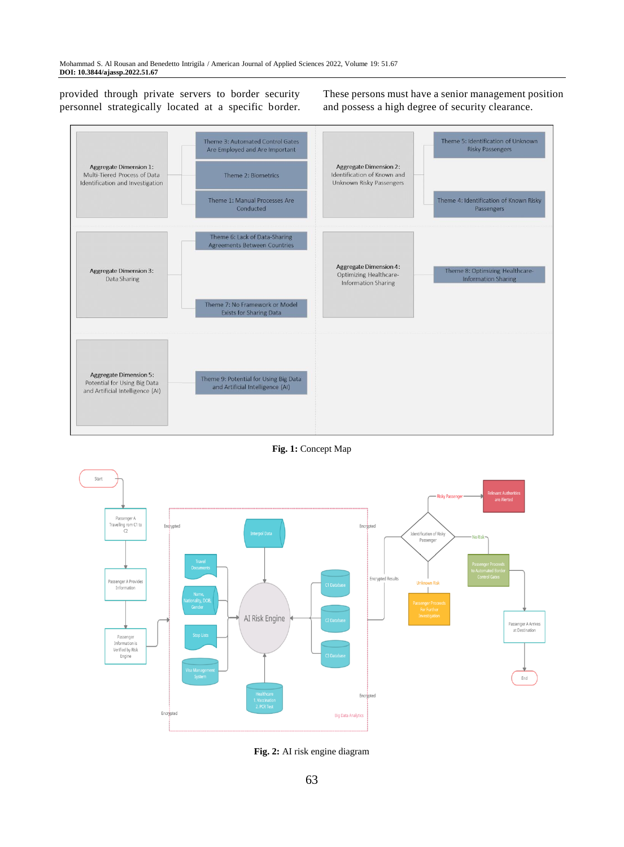provided through private servers to border security personnel strategically located at a specific border. These persons must have a senior management position and possess a high degree of security clearance.



**Fig. 1:** Concept Map



**Fig. 2:** AI risk engine diagram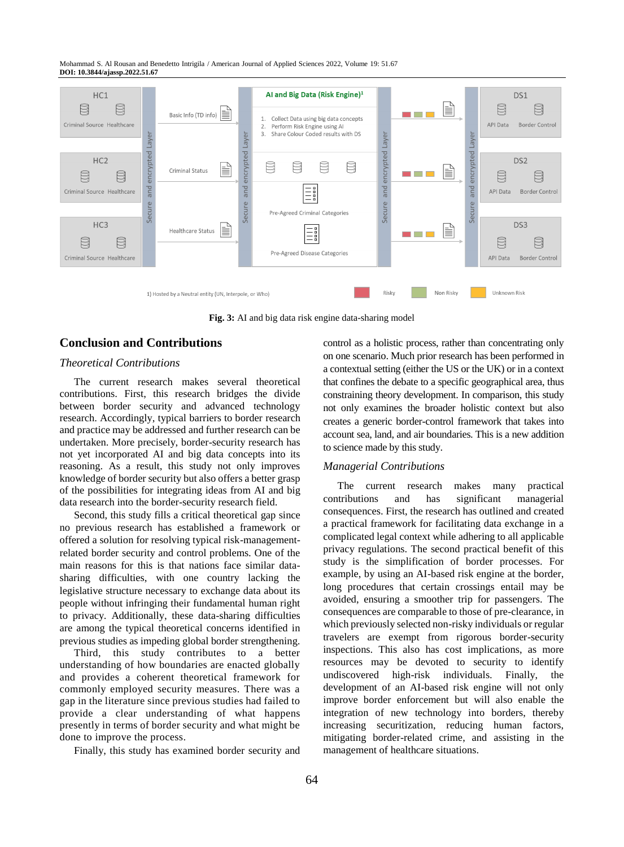Mohammad S. Al Rousan and Benedetto Intrigila / American Journal of Applied Sciences 2022, Volume 19: 51.67 **DOI: 10.3844/ajassp.2022.51.67**



**Fig. 3:** AI and big data risk engine data-sharing model

# **Conclusion and Contributions**

#### *Theoretical Contributions*

The current research makes several theoretical contributions. First, this research bridges the divide between border security and advanced technology research. Accordingly, typical barriers to border research and practice may be addressed and further research can be undertaken. More precisely, border-security research has not yet incorporated AI and big data concepts into its reasoning. As a result, this study not only improves knowledge of border security but also offers a better grasp of the possibilities for integrating ideas from AI and big data research into the border-security research field.

Second, this study fills a critical theoretical gap since no previous research has established a framework or offered a solution for resolving typical risk-managementrelated border security and control problems. One of the main reasons for this is that nations face similar datasharing difficulties, with one country lacking the legislative structure necessary to exchange data about its people without infringing their fundamental human right to privacy. Additionally, these data-sharing difficulties are among the typical theoretical concerns identified in previous studies as impeding global border strengthening.

Third, this study contributes to a better understanding of how boundaries are enacted globally and provides a coherent theoretical framework for commonly employed security measures. There was a gap in the literature since previous studies had failed to provide a clear understanding of what happens presently in terms of border security and what might be done to improve the process.

Finally, this study has examined border security and

control as a holistic process, rather than concentrating only on one scenario. Much prior research has been performed in a contextual setting (either the US or the UK) or in a context that confines the debate to a specific geographical area, thus constraining theory development. In comparison, this study not only examines the broader holistic context but also creates a generic border-control framework that takes into account sea, land, and air boundaries. This is a new addition to science made by this study.

#### *Managerial Contributions*

The current research makes many practical contributions and has significant managerial consequences. First, the research has outlined and created a practical framework for facilitating data exchange in a complicated legal context while adhering to all applicable privacy regulations. The second practical benefit of this study is the simplification of border processes. For example, by using an AI-based risk engine at the border, long procedures that certain crossings entail may be avoided, ensuring a smoother trip for passengers. The consequences are comparable to those of pre-clearance, in which previously selected non-risky individuals or regular travelers are exempt from rigorous border-security inspections. This also has cost implications, as more resources may be devoted to security to identify undiscovered high-risk individuals. Finally, the development of an AI-based risk engine will not only improve border enforcement but will also enable the integration of new technology into borders, thereby increasing securitization, reducing human factors, mitigating border-related crime, and assisting in the management of healthcare situations.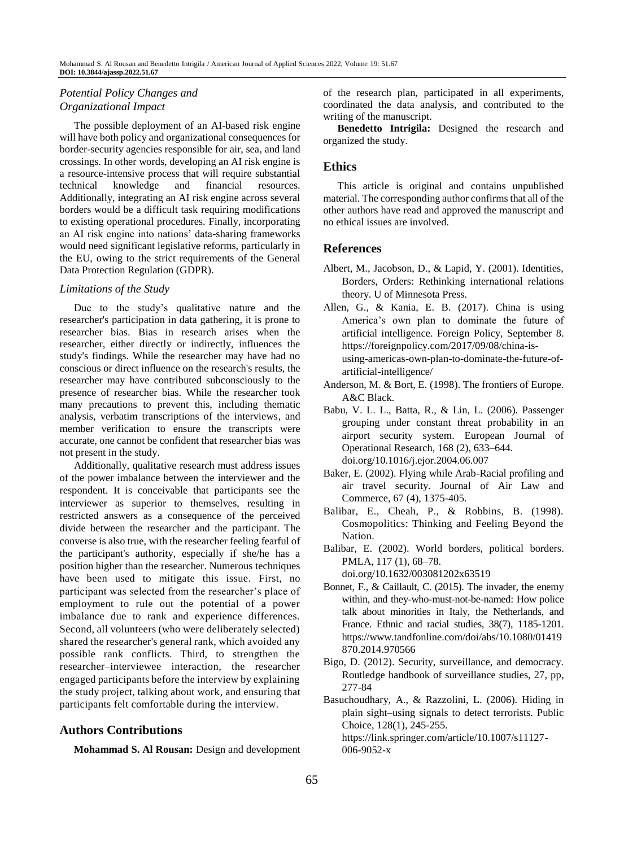# *Potential Policy Changes and Organizational Impact*

The possible deployment of an AI-based risk engine will have both policy and organizational consequences for border-security agencies responsible for air, sea, and land crossings. In other words, developing an AI risk engine is a resource-intensive process that will require substantial technical knowledge and financial resources. Additionally, integrating an AI risk engine across several borders would be a difficult task requiring modifications to existing operational procedures. Finally, incorporating an AI risk engine into nations' data-sharing frameworks would need significant legislative reforms, particularly in the EU, owing to the strict requirements of the General Data Protection Regulation (GDPR).

#### *Limitations of the Study*

Due to the study's qualitative nature and the researcher's participation in data gathering, it is prone to researcher bias. Bias in research arises when the researcher, either directly or indirectly, influences the study's findings. While the researcher may have had no conscious or direct influence on the research's results, the researcher may have contributed subconsciously to the presence of researcher bias. While the researcher took many precautions to prevent this, including thematic analysis, verbatim transcriptions of the interviews, and member verification to ensure the transcripts were accurate, one cannot be confident that researcher bias was not present in the study.

Additionally, qualitative research must address issues of the power imbalance between the interviewer and the respondent. It is conceivable that participants see the interviewer as superior to themselves, resulting in restricted answers as a consequence of the perceived divide between the researcher and the participant. The converse is also true, with the researcher feeling fearful of the participant's authority, especially if she/he has a position higher than the researcher. Numerous techniques have been used to mitigate this issue. First, no participant was selected from the researcher's place of employment to rule out the potential of a power imbalance due to rank and experience differences. Second, all volunteers (who were deliberately selected) shared the researcher's general rank, which avoided any possible rank conflicts. Third, to strengthen the researcher–interviewee interaction, the researcher engaged participants before the interview by explaining the study project, talking about work, and ensuring that participants felt comfortable during the interview.

## **Authors Contributions**

**Mohammad S. Al Rousan:** Design and development

of the research plan, participated in all experiments, coordinated the data analysis, and contributed to the writing of the manuscript.

**Benedetto Intrigila:** Designed the research and organized the study.

# **Ethics**

This article is original and contains unpublished material. The corresponding author confirms that all of the other authors have read and approved the manuscript and no ethical issues are involved.

## **References**

- Albert, M., Jacobson, D., & Lapid, Y. (2001). Identities, Borders, Orders: Rethinking international relations theory. U of Minnesota Press.
- Allen, G., & Kania, E. B. (2017). China is using America's own plan to dominate the future of artificial intelligence. Foreign Policy, September 8. [https://foreignpolicy.com/2017/09/08/china-is](https://foreignpolicy.com/2017/09/08/china-is-using-americas-own-plan-to-dominate-the-future-of-artificial-intelligence/)[using-americas-own-plan-to-dominate-the-future-of](https://foreignpolicy.com/2017/09/08/china-is-using-americas-own-plan-to-dominate-the-future-of-artificial-intelligence/)[artificial-intelligence/](https://foreignpolicy.com/2017/09/08/china-is-using-americas-own-plan-to-dominate-the-future-of-artificial-intelligence/)
- Anderson, M. & Bort, E. (1998). The frontiers of Europe. A&C Black.
- Babu, V. L. L., Batta, R., & Lin, L. (2006). Passenger grouping under constant threat probability in an airport security system. European Journal of Operational Research, 168 (2), 633–644. doi.org/10.1016/j.ejor.2004.06.007
- Baker, E. (2002). Flying while Arab-Racial profiling and air travel security. Journal of Air Law and Commerce, 67 (4), 1375-405.
- Balibar, E., Cheah, P., & Robbins, B. (1998). Cosmopolitics: Thinking and Feeling Beyond the Nation.

Balibar, E. (2002). World borders, political borders. PMLA, 117 (1), 68–78. [doi.org/10.1632/003081202x63519](https://doi.org/10.1632/003081202x63519)

- Bonnet, F., & Caillault, C. (2015). The invader, the enemy within, and they-who-must-not-be-named: How police talk about minorities in Italy, the Netherlands, and France. Ethnic and racial studies, 38(7), 1185-1201. https://www.tandfonline.com/doi/abs/10.1080/01419 870.2014.970566
- Bigo, D. (2012). Security, surveillance, and democracy. Routledge handbook of surveillance studies, 27, pp, 277-84

Basuchoudhary, A., & Razzolini, L. (2006). Hiding in plain sight–using signals to detect terrorists. Public Choice, 128(1), 245-255.

https://link.springer.com/article/10.1007/s11127- 006-9052-x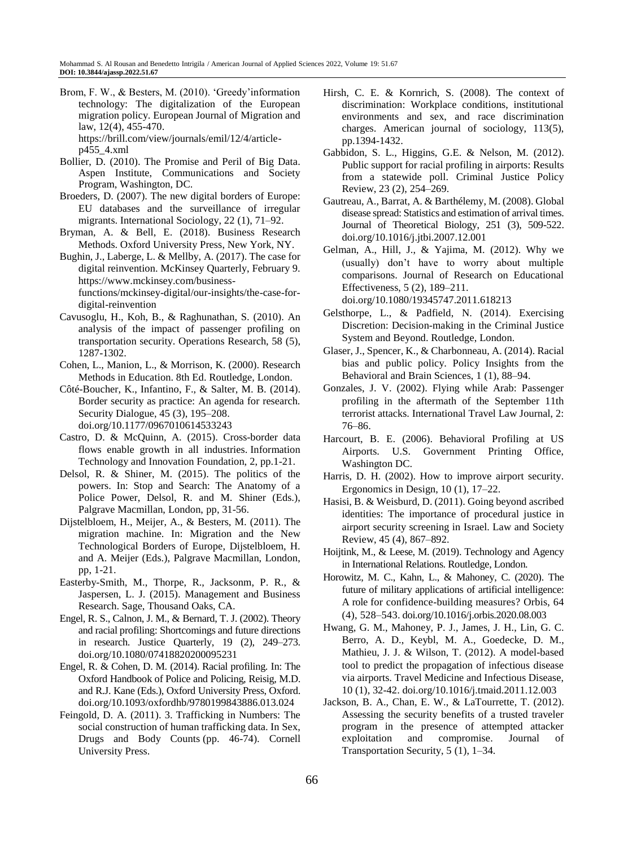Brom, F. W., & Besters, M. (2010). 'Greedy'information technology: The digitalization of the European migration policy. European Journal of Migration and law, 12(4), 455-470. https://brill.com/view/journals/emil/12/4/articlep455\_4.xml

- Bollier, D. (2010). The Promise and Peril of Big Data. Aspen Institute, Communications and Society Program, Washington, DC.
- Broeders, D. (2007). The new digital borders of Europe: EU databases and the surveillance of irregular migrants. International Sociology, 22 (1), 71–92.
- Bryman, A. & Bell, E. (2018). Business Research Methods. Oxford University Press, New York, NY.
- Bughin, J., Laberge, L. & Mellby, A. (2017). The case for digital reinvention. McKinsey Quarterly, February 9. https://www.mckinsey.com/businessfunctions/mckinsey-digital/our-insights/the-case-fordigital-reinvention
- Cavusoglu, H., Koh, B., & Raghunathan, S. (2010). An analysis of the impact of passenger profiling on transportation security. Operations Research, 58 (5), 1287-1302.
- Cohen, L., Manion, L., & Morrison, K. (2000). Research Methods in Education. 8th Ed. Routledge, London.
- Côté-Boucher, K., Infantino, F., & Salter, M. B. (2014). Border security as practice: An agenda for research. Security Dialogue, 45 (3), 195–208. [doi.org/10.1177/0967010614533243](https://doi.org/10.1177/0967010614533243)
- Castro, D. & McQuinn, A. (2015). Cross-border data flows enable growth in all industries. Information Technology and Innovation Foundation, 2, pp.1-21.
- Delsol, R. & Shiner, M. (2015). The politics of the powers. In: Stop and Search: The Anatomy of a Police Power, Delsol, R. and M. Shiner (Eds.), Palgrave Macmillan, London, pp, 31-56.
- Dijstelbloem, H., Meijer, A., & Besters, M. (2011). The migration machine. In: Migration and the New Technological Borders of Europe, Dijstelbloem, H. and A. Meijer (Eds.), Palgrave Macmillan, London, pp, 1-21.
- Easterby-Smith, M., Thorpe, R., Jacksonm, P. R., & Jaspersen, L. J. (2015). Management and Business Research. Sage, Thousand Oaks, CA.
- Engel, R. S., Calnon, J. M., & Bernard, T. J. (2002). Theory and racial profiling: Shortcomings and future directions in research. Justice Quarterly, 19 (2), 249–273. doi.org/10.1080/07418820200095231
- Engel, R. & Cohen, D. M. (2014). Racial profiling. In: The Oxford Handbook of Police and Policing, Reisig, M.D. and R.J. Kane (Eds.), Oxford University Press, Oxford. doi.org/10.1093/oxfordhb/9780199843886.013.024
- Feingold, D. A. (2011). 3. Trafficking in Numbers: The social construction of human trafficking data. In Sex, Drugs and Body Counts (pp. 46-74). Cornell University Press.
- Hirsh, C. E. & Kornrich, S. (2008). The context of discrimination: Workplace conditions, institutional environments and sex, and race discrimination charges. American journal of sociology, 113(5), pp.1394-1432.
- Gabbidon, S. L., Higgins, G.E. & Nelson, M. (2012). Public support for racial profiling in airports: Results from a statewide poll. Criminal Justice Policy Review, 23 (2), 254–269.
- Gautreau, A., Barrat, A. & Barthélemy, M. (2008). Global disease spread: Statistics and estimation of arrival times. Journal of Theoretical Biology, 251 (3), 509-522. doi.org/10.1016/j.jtbi.2007.12.001
- Gelman, A., Hill, J., & Yajima, M. (2012). Why we (usually) don't have to worry about multiple comparisons. Journal of Research on Educational Effectiveness, 5 (2), 189–211. doi.org/10.1080/19345747.2011.618213
- Gelsthorpe, L., & Padfield, N. (2014). Exercising Discretion: Decision-making in the Criminal Justice System and Beyond. Routledge, London.
- Glaser, J., Spencer, K., & Charbonneau, A. (2014). Racial bias and public policy. Policy Insights from the Behavioral and Brain Sciences, 1 (1), 88–94.
- Gonzales, J. V. (2002). Flying while Arab: Passenger profiling in the aftermath of the September 11th terrorist attacks. International Travel Law Journal, 2: 76–86.
- Harcourt, B. E. (2006). Behavioral Profiling at US Airports. U.S. Government Printing Office, Washington DC.
- Harris, D. H. (2002). How to improve airport security. Ergonomics in Design, 10 (1), 17–22.
- Hasisi, B. & Weisburd, D. (2011). Going beyond ascribed identities: The importance of procedural justice in airport security screening in Israel. Law and Society Review, 45 (4), 867–892.
- Hoijtink, M., & Leese, M. (2019). Technology and Agency in International Relations. Routledge, London.
- Horowitz, M. C., Kahn, L., & Mahoney, C. (2020). The future of military applications of artificial intelligence: A role for confidence-building measures? Orbis, 64 (4), 528–543. doi.org/10.1016/j.orbis.2020.08.003
- Hwang, G. M., Mahoney, P. J., James, J. H., Lin, G. C. Berro, A. D., Keybl, M. A., Goedecke, D. M., Mathieu, J. J. & Wilson, T. (2012). A model-based tool to predict the propagation of infectious disease via airports. Travel Medicine and Infectious Disease, 10 (1), 32-42. doi.org/10.1016/j.tmaid.2011.12.003
- Jackson, B. A., Chan, E. W., & LaTourrette, T. (2012). Assessing the security benefits of a trusted traveler program in the presence of attempted attacker exploitation and compromise. Journal of Transportation Security, 5 (1), 1–34.